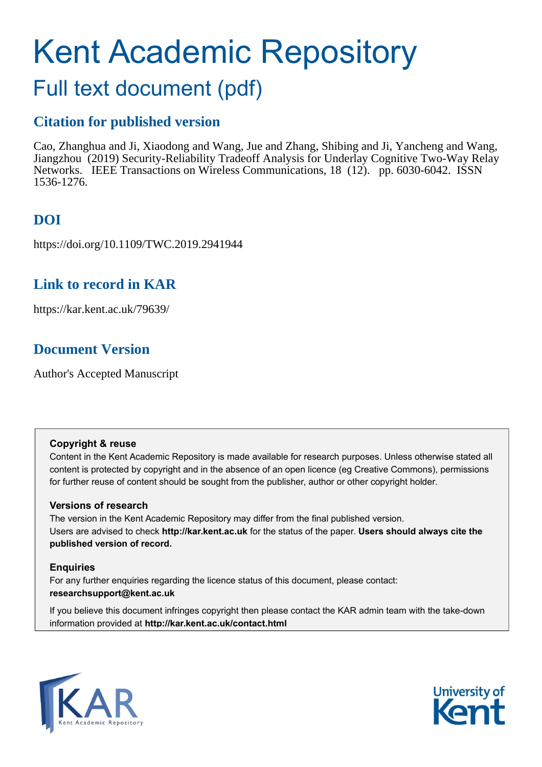# Kent Academic Repository

## Full text document (pdf)

## **Citation for published version**

Cao, Zhanghua and Ji, Xiaodong and Wang, Jue and Zhang, Shibing and Ji, Yancheng and Wang, Jiangzhou (2019) Security-Reliability Tradeoff Analysis for Underlay Cognitive Two-Way Relay Networks. IEEE Transactions on Wireless Communications, 18 (12). pp. 6030-6042. ISSN 1536-1276.

## **DOI**

https://doi.org/10.1109/TWC.2019.2941944

### **Link to record in KAR**

https://kar.kent.ac.uk/79639/

## **Document Version**

Author's Accepted Manuscript

#### **Copyright & reuse**

Content in the Kent Academic Repository is made available for research purposes. Unless otherwise stated all content is protected by copyright and in the absence of an open licence (eg Creative Commons), permissions for further reuse of content should be sought from the publisher, author or other copyright holder.

#### **Versions of research**

The version in the Kent Academic Repository may differ from the final published version. Users are advised to check **http://kar.kent.ac.uk** for the status of the paper. **Users should always cite the published version of record.**

#### **Enquiries**

For any further enquiries regarding the licence status of this document, please contact: **researchsupport@kent.ac.uk**

If you believe this document infringes copyright then please contact the KAR admin team with the take-down information provided at **http://kar.kent.ac.uk/contact.html**



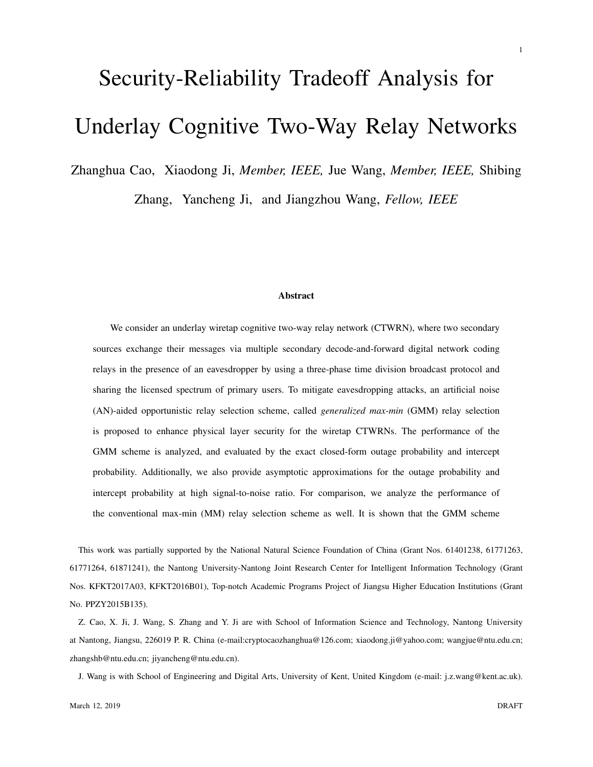## Security-Reliability Tradeoff Analysis for Underlay Cognitive Two-Way Relay Networks

Zhanghua Cao, Xiaodong Ji, *Member, IEEE,* Jue Wang, *Member, IEEE,* Shibing

Zhang, Yancheng Ji, and Jiangzhou Wang, *Fellow, IEEE*

#### Abstract

We consider an underlay wiretap cognitive two-way relay network (CTWRN), where two secondary sources exchange their messages via multiple secondary decode-and-forward digital network coding relays in the presence of an eavesdropper by using a three-phase time division broadcast protocol and sharing the licensed spectrum of primary users. To mitigate eavesdropping attacks, an artificial noise (AN)-aided opportunistic relay selection scheme, called *generalized max-min* (GMM) relay selection is proposed to enhance physical layer security for the wiretap CTWRNs. The performance of the GMM scheme is analyzed, and evaluated by the exact closed-form outage probability and intercept probability. Additionally, we also provide asymptotic approximations for the outage probability and intercept probability at high signal-to-noise ratio. For comparison, we analyze the performance of the conventional max-min (MM) relay selection scheme as well. It is shown that the GMM scheme

This work was partially supported by the National Natural Science Foundation of China (Grant Nos. 61401238, 61771263, 61771264, 61871241), the Nantong University-Nantong Joint Research Center for Intelligent Information Technology (Grant Nos. KFKT2017A03, KFKT2016B01), Top-notch Academic Programs Project of Jiangsu Higher Education Institutions (Grant No. PPZY2015B135).

Z. Cao, X. Ji, J. Wang, S. Zhang and Y. Ji are with School of Information Science and Technology, Nantong University at Nantong, Jiangsu, 226019 P. R. China (e-mail:cryptocaozhanghua@126.com; xiaodong.ji@yahoo.com; wangjue@ntu.edu.cn; zhangshb@ntu.edu.cn; jiyancheng@ntu.edu.cn).

J. Wang is with School of Engineering and Digital Arts, University of Kent, United Kingdom (e-mail: j.z.wang@kent.ac.uk).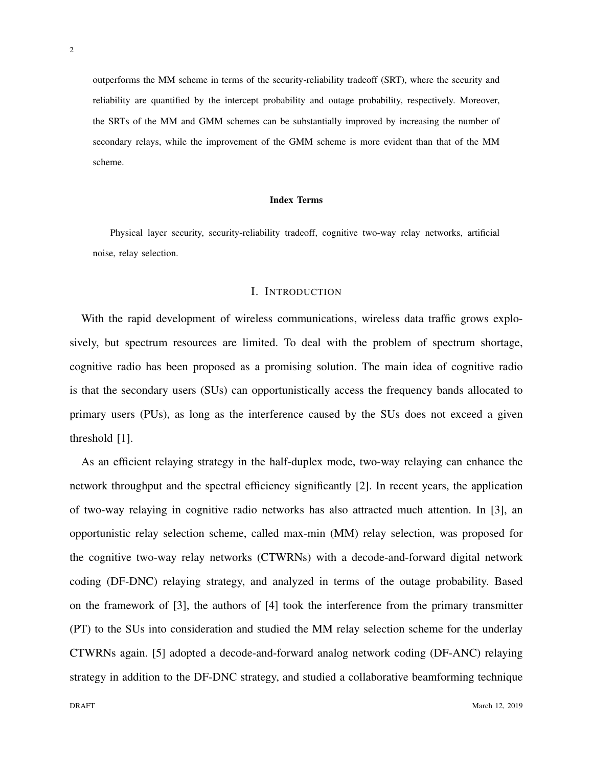outperforms the MM scheme in terms of the security-reliability tradeoff (SRT), where the security and reliability are quantified by the intercept probability and outage probability, respectively. Moreover, the SRTs of the MM and GMM schemes can be substantially improved by increasing the number of secondary relays, while the improvement of the GMM scheme is more evident than that of the MM scheme.

#### Index Terms

Physical layer security, security-reliability tradeoff, cognitive two-way relay networks, artificial noise, relay selection.

#### I. INTRODUCTION

With the rapid development of wireless communications, wireless data traffic grows explosively, but spectrum resources are limited. To deal with the problem of spectrum shortage, cognitive radio has been proposed as a promising solution. The main idea of cognitive radio is that the secondary users (SUs) can opportunistically access the frequency bands allocated to primary users (PUs), as long as the interference caused by the SUs does not exceed a given threshold [1].

As an efficient relaying strategy in the half-duplex mode, two-way relaying can enhance the network throughput and the spectral efficiency significantly [2]. In recent years, the application of two-way relaying in cognitive radio networks has also attracted much attention. In [3], an opportunistic relay selection scheme, called max-min (MM) relay selection, was proposed for the cognitive two-way relay networks (CTWRNs) with a decode-and-forward digital network coding (DF-DNC) relaying strategy, and analyzed in terms of the outage probability. Based on the framework of [3], the authors of [4] took the interference from the primary transmitter (PT) to the SUs into consideration and studied the MM relay selection scheme for the underlay CTWRNs again. [5] adopted a decode-and-forward analog network coding (DF-ANC) relaying strategy in addition to the DF-DNC strategy, and studied a collaborative beamforming technique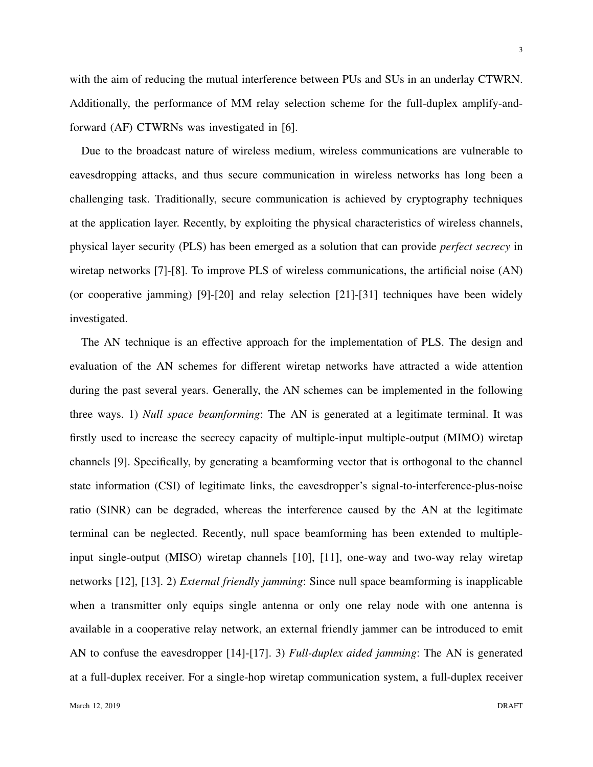with the aim of reducing the mutual interference between PUs and SUs in an underlay CTWRN. Additionally, the performance of MM relay selection scheme for the full-duplex amplify-andforward (AF) CTWRNs was investigated in [6].

Due to the broadcast nature of wireless medium, wireless communications are vulnerable to eavesdropping attacks, and thus secure communication in wireless networks has long been a challenging task. Traditionally, secure communication is achieved by cryptography techniques at the application layer. Recently, by exploiting the physical characteristics of wireless channels, physical layer security (PLS) has been emerged as a solution that can provide *perfect secrecy* in wiretap networks [7]-[8]. To improve PLS of wireless communications, the artificial noise (AN) (or cooperative jamming) [9]-[20] and relay selection [21]-[31] techniques have been widely investigated.

The AN technique is an effective approach for the implementation of PLS. The design and evaluation of the AN schemes for different wiretap networks have attracted a wide attention during the past several years. Generally, the AN schemes can be implemented in the following three ways. 1) *Null space beamforming*: The AN is generated at a legitimate terminal. It was firstly used to increase the secrecy capacity of multiple-input multiple-output (MIMO) wiretap channels [9]. Specifically, by generating a beamforming vector that is orthogonal to the channel state information (CSI) of legitimate links, the eavesdropper's signal-to-interference-plus-noise ratio (SINR) can be degraded, whereas the interference caused by the AN at the legitimate terminal can be neglected. Recently, null space beamforming has been extended to multipleinput single-output (MISO) wiretap channels [10], [11], one-way and two-way relay wiretap networks [12], [13]. 2) *External friendly jamming*: Since null space beamforming is inapplicable when a transmitter only equips single antenna or only one relay node with one antenna is available in a cooperative relay network, an external friendly jammer can be introduced to emit AN to confuse the eavesdropper [14]-[17]. 3) *Full-duplex aided jamming*: The AN is generated at a full-duplex receiver. For a single-hop wiretap communication system, a full-duplex receiver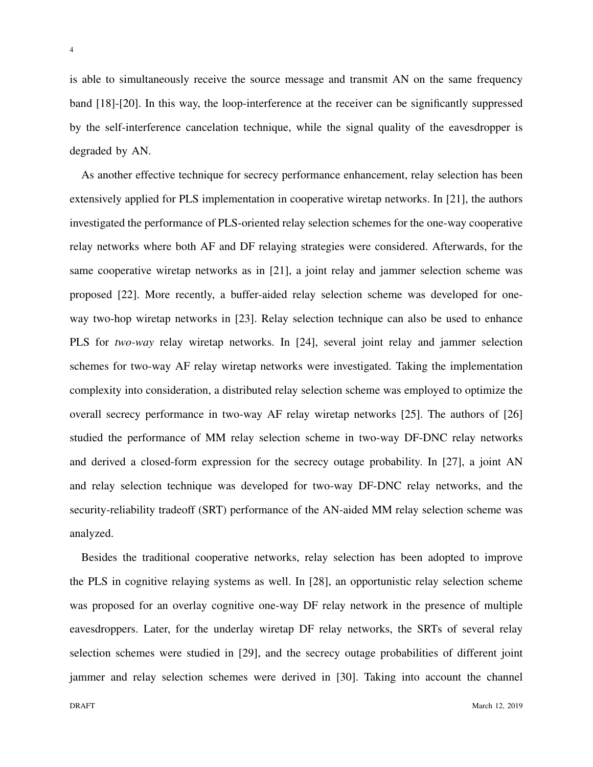is able to simultaneously receive the source message and transmit AN on the same frequency band [18]-[20]. In this way, the loop-interference at the receiver can be significantly suppressed by the self-interference cancelation technique, while the signal quality of the eavesdropper is degraded by AN.

As another effective technique for secrecy performance enhancement, relay selection has been extensively applied for PLS implementation in cooperative wiretap networks. In [21], the authors investigated the performance of PLS-oriented relay selection schemes for the one-way cooperative relay networks where both AF and DF relaying strategies were considered. Afterwards, for the same cooperative wiretap networks as in [21], a joint relay and jammer selection scheme was proposed [22]. More recently, a buffer-aided relay selection scheme was developed for oneway two-hop wiretap networks in [23]. Relay selection technique can also be used to enhance PLS for *two-way* relay wiretap networks. In [24], several joint relay and jammer selection schemes for two-way AF relay wiretap networks were investigated. Taking the implementation complexity into consideration, a distributed relay selection scheme was employed to optimize the overall secrecy performance in two-way AF relay wiretap networks [25]. The authors of [26] studied the performance of MM relay selection scheme in two-way DF-DNC relay networks and derived a closed-form expression for the secrecy outage probability. In [27], a joint AN and relay selection technique was developed for two-way DF-DNC relay networks, and the security-reliability tradeoff (SRT) performance of the AN-aided MM relay selection scheme was analyzed.

Besides the traditional cooperative networks, relay selection has been adopted to improve the PLS in cognitive relaying systems as well. In [28], an opportunistic relay selection scheme was proposed for an overlay cognitive one-way DF relay network in the presence of multiple eavesdroppers. Later, for the underlay wiretap DF relay networks, the SRTs of several relay selection schemes were studied in [29], and the secrecy outage probabilities of different joint jammer and relay selection schemes were derived in [30]. Taking into account the channel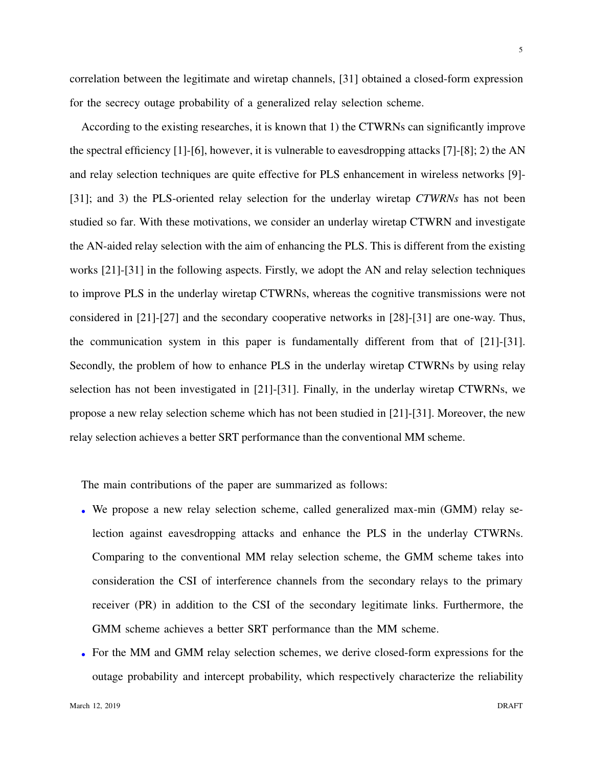correlation between the legitimate and wiretap channels, [31] obtained a closed-form expression for the secrecy outage probability of a generalized relay selection scheme.

According to the existing researches, it is known that 1) the CTWRNs can significantly improve the spectral efficiency [1]-[6], however, it is vulnerable to eavesdropping attacks [7]-[8]; 2) the AN and relay selection techniques are quite effective for PLS enhancement in wireless networks [9]- [31]; and 3) the PLS-oriented relay selection for the underlay wiretap *CTWRNs* has not been studied so far. With these motivations, we consider an underlay wiretap CTWRN and investigate the AN-aided relay selection with the aim of enhancing the PLS. This is different from the existing works [21]-[31] in the following aspects. Firstly, we adopt the AN and relay selection techniques to improve PLS in the underlay wiretap CTWRNs, whereas the cognitive transmissions were not considered in [21]-[27] and the secondary cooperative networks in [28]-[31] are one-way. Thus, the communication system in this paper is fundamentally different from that of [21]-[31]. Secondly, the problem of how to enhance PLS in the underlay wiretap CTWRNs by using relay selection has not been investigated in [21]-[31]. Finally, in the underlay wiretap CTWRNs, we propose a new relay selection scheme which has not been studied in [21]-[31]. Moreover, the new relay selection achieves a better SRT performance than the conventional MM scheme.

The main contributions of the paper are summarized as follows:

- We propose a new relay selection scheme, called generalized max-min (GMM) relay selection against eavesdropping attacks and enhance the PLS in the underlay CTWRNs. Comparing to the conventional MM relay selection scheme, the GMM scheme takes into consideration the CSI of interference channels from the secondary relays to the primary receiver (PR) in addition to the CSI of the secondary legitimate links. Furthermore, the GMM scheme achieves a better SRT performance than the MM scheme.
- *•* For the MM and GMM relay selection schemes, we derive closed-form expressions for the outage probability and intercept probability, which respectively characterize the reliability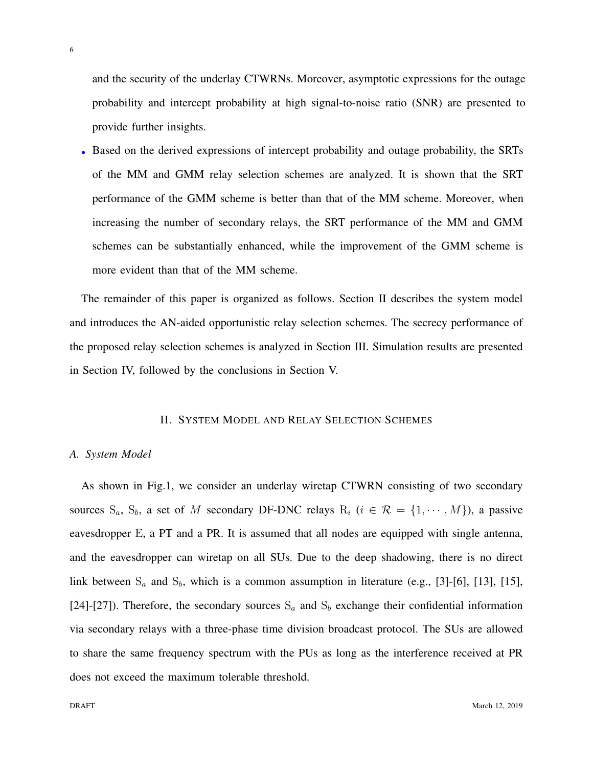and the security of the underlay CTWRNs. Moreover, asymptotic expressions for the outage probability and intercept probability at high signal-to-noise ratio (SNR) are presented to provide further insights.

*•* Based on the derived expressions of intercept probability and outage probability, the SRTs of the MM and GMM relay selection schemes are analyzed. It is shown that the SRT performance of the GMM scheme is better than that of the MM scheme. Moreover, when increasing the number of secondary relays, the SRT performance of the MM and GMM schemes can be substantially enhanced, while the improvement of the GMM scheme is more evident than that of the MM scheme.

The remainder of this paper is organized as follows. Section II describes the system model and introduces the AN-aided opportunistic relay selection schemes. The secrecy performance of the proposed relay selection schemes is analyzed in Section III. Simulation results are presented in Section IV, followed by the conclusions in Section V.

#### II. SYSTEM MODEL AND RELAY SELECTION SCHEMES

#### *A. System Model*

As shown in Fig.1, we consider an underlay wiretap CTWRN consisting of two secondary sources  $S_a$ ,  $S_b$ , a set of *M* secondary DF-DNC relays  $R_i$  ( $i \in \mathcal{R} = \{1, \dots, M\}$ ), a passive eavesdropper E, a PT and a PR. It is assumed that all nodes are equipped with single antenna, and the eavesdropper can wiretap on all SUs. Due to the deep shadowing, there is no direct link between S<sub>a</sub> and S<sub>b</sub>, which is a common assumption in literature (e.g., [3]-[6], [13], [15], [24]-[27]). Therefore, the secondary sources  $S_a$  and  $S_b$  exchange their confidential information via secondary relays with a three-phase time division broadcast protocol. The SUs are allowed to share the same frequency spectrum with the PUs as long as the interference received at PR does not exceed the maximum tolerable threshold.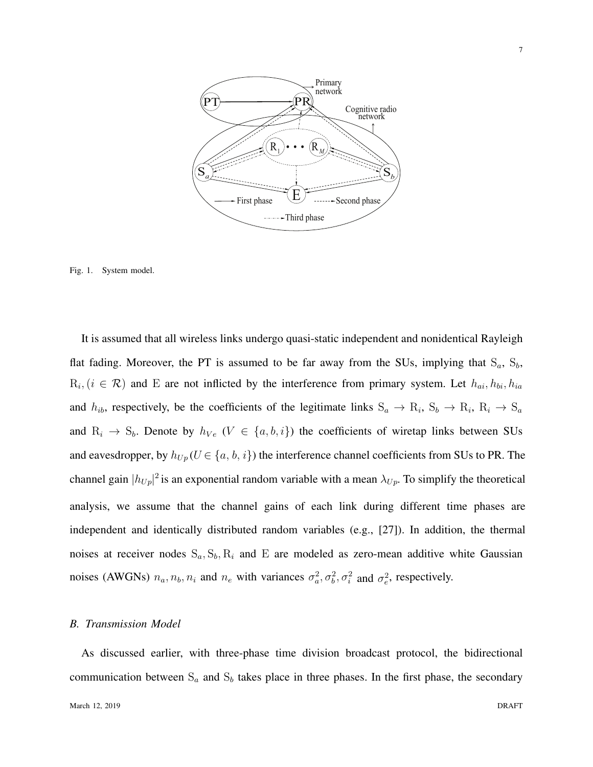

Fig. 1. System model.

noises (AWGNs)  $n_a$ ,  $n_b$ ,  $n_i$  and  $n_e$  with variances  $\sigma_a^2$ ,  $\sigma_b^2$ ,  $\sigma_i^2$  and  $\sigma_e^2$ , respectively. It is assumed that all wireless links undergo quasi-static independent and nonidentical Rayleigh flat fading. Moreover, the PT is assumed to be far away from the SUs, implying that S*a*, S*b*,  $R_i$ ,  $(i \in \mathcal{R})$  and E are not inflicted by the interference from primary system. Let  $h_{ai}$ ,  $h_{bi}$ ,  $h_{ia}$ and  $h_{ib}$ , respectively, be the coefficients of the legitimate links  $S_a \rightarrow R_i$ ,  $S_b \rightarrow R_i$ ,  $R_i \rightarrow S_a$ and  $R_i \rightarrow S_b$ . Denote by  $h_{Ve}$  ( $V \in \{a, b, i\}$ ) the coefficients of wiretap links between SUs and eavesdropper, by  $h_{Up}(U \in \{a, b, i\})$  the interference channel coefficients from SUs to PR. The channel gain  $|h_{Up}|^2$  is an exponential random variable with a mean  $\lambda_{Up}$ . To simplify the theoretical analysis, we assume that the channel gains of each link during different time phases are independent and identically distributed random variables (e.g., [27]). In addition, the thermal noises at receiver nodes  $S_a$ ,  $S_b$ ,  $R_i$  and  $E$  are modeled as zero-mean additive white Gaussian

#### *B. Transmission Model*

As discussed earlier, with three-phase time division broadcast protocol, the bidirectional communication between  $S_a$  and  $S_b$  takes place in three phases. In the first phase, the secondary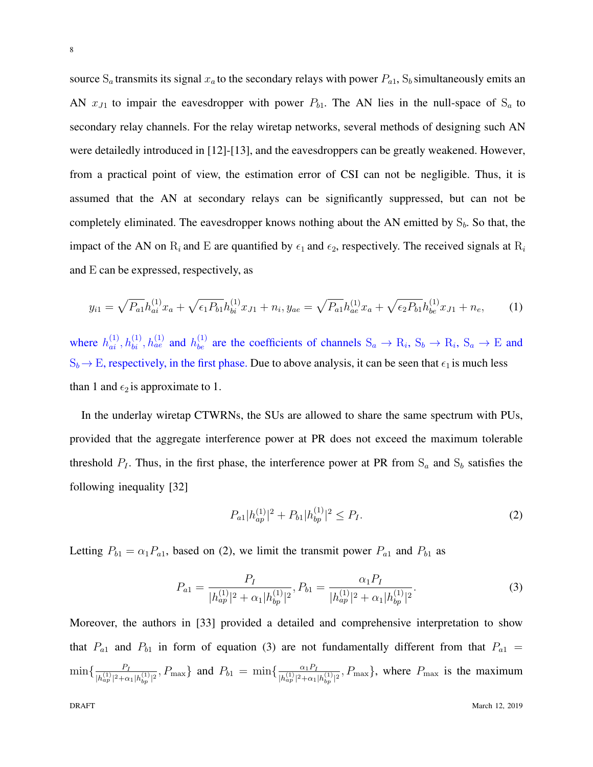source  $S_a$  transmits its signal  $x_a$  to the secondary relays with power  $P_{a1}$ ,  $S_b$  simultaneously emits an AN  $x_{J1}$  to impair the eavesdropper with power  $P_{b1}$ . The AN lies in the null-space of  $S_a$  to secondary relay channels. For the relay wiretap networks, several methods of designing such AN were detailedly introduced in [12]-[13], and the eavesdroppers can be greatly weakened. However, from a practical point of view, the estimation error of CSI can not be negligible. Thus, it is assumed that the AN at secondary relays can be significantly suppressed, but can not be completely eliminated. The eavesdropper knows nothing about the AN emitted by S*b*. So that, the impact of the AN on  $R_i$  and E are quantified by  $\epsilon_1$  and  $\epsilon_2$ , respectively. The received signals at  $R_i$ and E can be expressed, respectively, as

$$
y_{i1} = \sqrt{P_{a1}} h_{ai}^{(1)} x_a + \sqrt{\epsilon_1 P_{b1}} h_{bi}^{(1)} x_{J1} + n_i, y_{ae} = \sqrt{P_{a1}} h_{ae}^{(1)} x_a + \sqrt{\epsilon_2 P_{b1}} h_{be}^{(1)} x_{J1} + n_e,
$$
 (1)

where  $h_{ai}^{(1)}, h_{bi}^{(1)}, h_{ae}^{(1)}$  and  $h_{be}^{(1)}$  are the coefficients of channels  $S_a \to R_i$ ,  $S_b \to R_i$ ,  $S_a \to E$  and  $S_b \rightarrow E$ , respectively, in the first phase. Due to above analysis, it can be seen that  $\epsilon_1$  is much less than 1 and  $\epsilon_2$  is approximate to 1.

In the underlay wiretap CTWRNs, the SUs are allowed to share the same spectrum with PUs, provided that the aggregate interference power at PR does not exceed the maximum tolerable threshold  $P_I$ . Thus, in the first phase, the interference power at PR from  $S_a$  and  $S_b$  satisfies the following inequality [32]

$$
P_{a1}|h_{ap}^{(1)}|^2 + P_{b1}|h_{bp}^{(1)}|^2 \le P_I.
$$
\n<sup>(2)</sup>

Letting  $P_{b1} = \alpha_1 P_{a1}$ , based on (2), we limit the transmit power  $P_{a1}$  and  $P_{b1}$  as

$$
P_{a1} = \frac{P_I}{|h_{ap}^{(1)}|^2 + \alpha_1 |h_{bp}^{(1)}|^2}, P_{b1} = \frac{\alpha_1 P_I}{|h_{ap}^{(1)}|^2 + \alpha_1 |h_{bp}^{(1)}|^2}.
$$
\n(3)

Moreover, the authors in [33] provided a detailed and comprehensive interpretation to show that  $P_{a1}$  and  $P_{b1}$  in form of equation (3) are not fundamentally different from that  $P_{a1}$  =  $\min\{\frac{P_I}{\mu(1)_{12}}\}$  $\frac{P_I}{|h_{ap}^{(1)}|^2 + \alpha_1 |h_{bp}^{(1)}|^2},$   $P_{\text{max}}$ } and  $P_{b1} = \min \{ \frac{\alpha_1 P_I}{|h_{ap}^{(1)}|^2 + \alpha_1}$  $\frac{\alpha_1 P_I}{|h_{ap}^{(1)}|^2 + \alpha_1 |h_{bp}^{(1)}|^2}$ , *P*<sub>max</sub>}, where *P*<sub>max</sub> is the maximum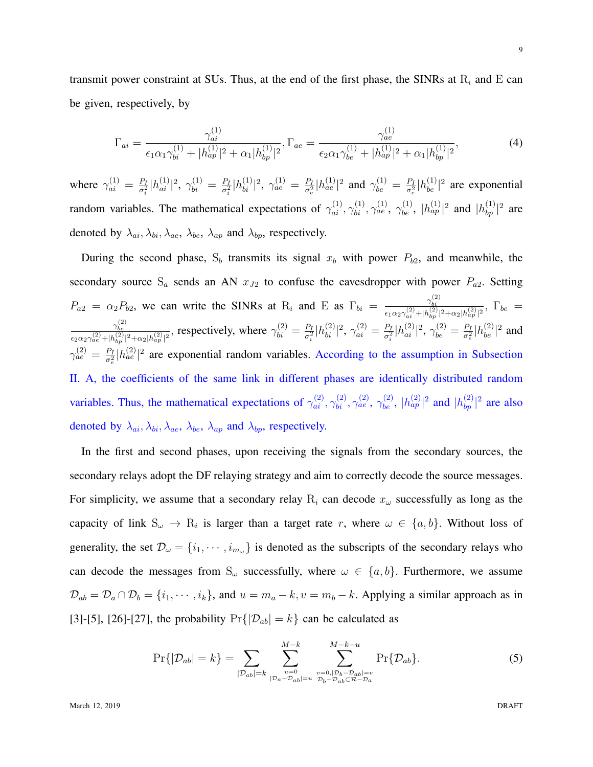transmit power constraint at SUs. Thus, at the end of the first phase, the SINRs at  $R_i$  and  $E$  can be given, respectively, by

$$
\Gamma_{ai} = \frac{\gamma_{ai}^{(1)}}{\epsilon_1 \alpha_1 \gamma_{bi}^{(1)} + |h_{ap}^{(1)}|^2 + \alpha_1 |h_{bp}^{(1)}|^2}, \Gamma_{ae} = \frac{\gamma_{ae}^{(1)}}{\epsilon_2 \alpha_1 \gamma_{be}^{(1)} + |h_{ap}^{(1)}|^2 + \alpha_1 |h_{bp}^{(1)}|^2},\tag{4}
$$

where  $\gamma_{ai}^{(1)} = \frac{P_I}{\sigma^2}$  $\frac{P_I}{\sigma_i^2} |h_{ai}^{(1)}|^2, \ \gamma_{bi}^{(1)} = \frac{P_I}{\sigma_i^2}$  $\frac{P_I}{\sigma_i^2} |h_{bi}^{(1)}|^2$ ,  $\gamma_{ae}^{(1)} = \frac{P_I}{\sigma_e^2}$  $\frac{P_I}{\sigma_e^2} |h_{ae}^{(1)}|^2$  and  $\gamma_{be}^{(1)} = \frac{P_I}{\sigma_e^2}$  $\frac{P_I}{\sigma_e^2}$  | $h_{be}^{(1)}$ |<sup>2</sup> are exponential random variables. The mathematical expectations of  $\gamma_{ai}^{(1)}, \gamma_{bi}^{(1)}, \gamma_{ae}^{(1)}, \gamma_{be}^{(1)}, |h_{ap}^{(1)}|^2$  and  $|h_{bp}^{(1)}|^2$  are denoted by  $\lambda_{ai}, \lambda_{bi}, \lambda_{ae}, \lambda_{be}, \lambda_{ap}$  and  $\lambda_{bp}$ , respectively.

During the second phase,  $S_b$  transmits its signal  $x_b$  with power  $P_{b2}$ , and meanwhile, the secondary source  $S_a$  sends an AN  $x_{J2}$  to confuse the eavesdropper with power  $P_{a2}$ . Setting  $P_{a2} = \alpha_2 P_{b2}$ , we can write the SINRs at R<sub>i</sub> and E as  $\Gamma_{bi} = \frac{\gamma_{bi}^{(2)}}{(\gamma_{bi}^{(2)} + \gamma_{bi}^{(2)})}$  $\frac{\gamma_{bi}}{\epsilon_1\alpha_2\gamma^{(2)}_{ai}+|h^{(2)}_{bp}|^2+\alpha_2|h^{(2)}_{ap}|^2},\,\,\Gamma_{be}=0$ *γ* (2) *be*  $\frac{\gamma_{be}^{(2)}}{\epsilon_2 \alpha_2 \gamma_{ae}^{(2)} + |h_{bp}^{(2)}|^2 + \alpha_2 |h_{ap}^{(2)}|^2},$  respectively, where  $\gamma_{bi}^{(2)} = \frac{P_I}{\sigma_i^2}$  $\frac{P_I}{\sigma_i^2} |h_{bi}^{(2)}|^2$ ,  $\gamma_{ai}^{(2)} = \frac{P_I}{\sigma_i^2}$  $\frac{P_I}{\sigma_i^2} |h_{ai}^{(2)}|^2, \, \gamma_{be}^{(2)} = \frac{P_I}{\sigma_e^2}$  $\frac{P_I}{\sigma_e^2} |h_{be}^{(2)}|^2$  and  $\gamma_{ae}^{(2)} = \frac{P_I}{\sigma^2}$  $\frac{P_I}{\sigma_e^2}$  | $h_{ae}^{(2)}$ |<sup>2</sup> are exponential random variables. According to the assumption in Subsection II. A, the coefficients of the same link in different phases are identically distributed random variables. Thus, the mathematical expectations of  $\gamma_{ai}^{(2)}, \gamma_{bi}^{(2)}, \gamma_{ae}^{(2)}, \gamma_{be}^{(2)}, |h_{ap}^{(2)}|^2$  and  $|h_{bp}^{(2)}|^2$  are also denoted by  $\lambda_{ai}$ ,  $\lambda_{bi}$ ,  $\lambda_{ae}$ ,  $\lambda_{be}$ ,  $\lambda_{ap}$  and  $\lambda_{bp}$ , respectively.

In the first and second phases, upon receiving the signals from the secondary sources, the secondary relays adopt the DF relaying strategy and aim to correctly decode the source messages. For simplicity, we assume that a secondary relay  $R_i$  can decode  $x_\omega$  successfully as long as the capacity of link  $S_\omega \to R_i$  is larger than a target rate *r*, where  $\omega \in \{a, b\}$ . Without loss of generality, the set  $\mathcal{D}_{\omega} = \{i_1, \dots, i_{m_{\omega}}\}$  is denoted as the subscripts of the secondary relays who can decode the messages from  $S_\omega$  successfully, where  $\omega \in \{a, b\}$ . Furthermore, we assume  $\mathcal{D}_{ab} = \mathcal{D}_a \cap \mathcal{D}_b = \{i_1, \dots, i_k\}$ , and  $u = m_a - k$ ,  $v = m_b - k$ . Applying a similar approach as in [3]-[5], [26]-[27], the probability  $Pr\{|\mathcal{D}_{ab}| = k\}$  can be calculated as

$$
\Pr\{|\mathcal{D}_{ab}| = k\} = \sum_{|\mathcal{D}_{ab}| = k} \sum_{\substack{u=0 \ u=0, |p_b - p_{ab}| = u}} \sum_{\substack{v=0, |\mathcal{D}_b - \mathcal{D}_{ab}| = v \ v_0 - \mathcal{D}_{ab} = v}}^{M-k-u} \Pr\{\mathcal{D}_{ab}\}.
$$
\n(5)

9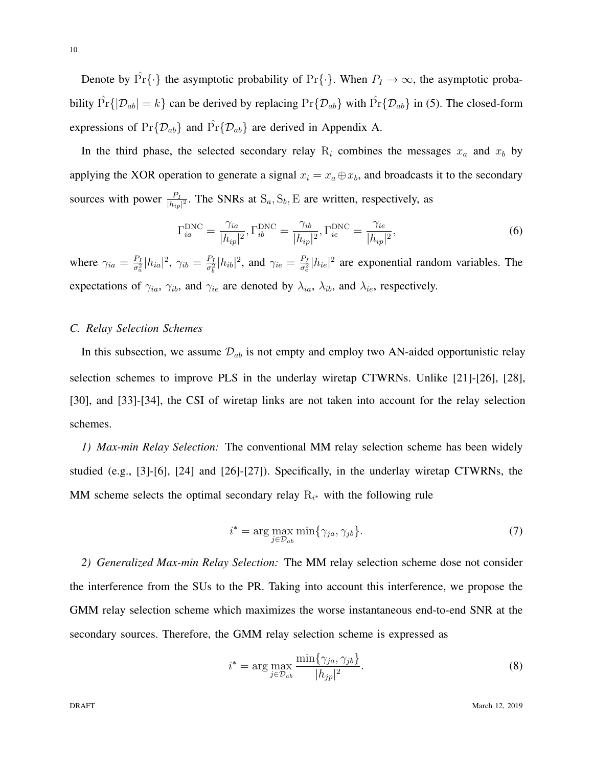Denote by  $\hat{\Pr}\{\cdot\}$  the asymptotic probability of  $\Pr\{\cdot\}$ . When  $P_I \to \infty$ , the asymptotic probability  $\hat{Pr}\{\mathcal{D}_{ab}| = k\}$  can be derived by replacing  $\Pr\{\mathcal{D}_{ab}\}\$  with  $\hat{Pr}\{\mathcal{D}_{ab}\}\$  in (5). The closed-form expressions of  $Pr{\{\mathcal{D}_{ab}\}}$  and  $Pr{\{\mathcal{D}_{ab}\}}$  are derived in Appendix A.

In the third phase, the selected secondary relay  $R_i$  combines the messages  $x_a$  and  $x_b$  by applying the XOR operation to generate a signal  $x_i = x_a \oplus x_b$ , and broadcasts it to the secondary sources with power  $\frac{P_I}{|h_{ip}|^2}$ . The SNRs at  $S_a$ ,  $S_b$ , E are written, respectively, as

$$
\Gamma_{ia}^{\text{DNC}} = \frac{\gamma_{ia}}{|h_{ip}|^2}, \Gamma_{ib}^{\text{DNC}} = \frac{\gamma_{ib}}{|h_{ip}|^2}, \Gamma_{ie}^{\text{DNC}} = \frac{\gamma_{ie}}{|h_{ip}|^2},\tag{6}
$$

where  $\gamma_{ia} = \frac{P_I}{\sigma^2}$  $\frac{P_I}{\sigma_a^2} |h_{ia}|^2$ ,  $\gamma_{ib} = \frac{P_I}{\sigma_b^2}$  $\frac{P_I}{\sigma_e^2}$  | $h_{ib}$ |<sup>2</sup>, and  $\gamma_{ie} = \frac{P_I}{\sigma_e^2}$  $\frac{P_I}{\sigma_e^2}$  | $h_{ie}$ |<sup>2</sup> are exponential random variables. The expectations of  $\gamma_{ia}$ ,  $\gamma_{ib}$ , and  $\gamma_{ie}$  are denoted by  $\lambda_{ia}$ ,  $\lambda_{ib}$ , and  $\lambda_{ie}$ , respectively.

#### *C. Relay Selection Schemes*

In this subsection, we assume  $\mathcal{D}_{ab}$  is not empty and employ two AN-aided opportunistic relay selection schemes to improve PLS in the underlay wiretap CTWRNs. Unlike [21]-[26], [28], [30], and [33]-[34], the CSI of wiretap links are not taken into account for the relay selection schemes.

*1) Max-min Relay Selection:* The conventional MM relay selection scheme has been widely studied (e.g., [3]-[6], [24] and [26]-[27]). Specifically, in the underlay wiretap CTWRNs, the MM scheme selects the optimal secondary relay R*<sup>i</sup> <sup>∗</sup>* with the following rule

$$
i^* = \arg\max_{j \in \mathcal{D}_{ab}} \min\{\gamma_{ja}, \gamma_{jb}\}.
$$
 (7)

*2) Generalized Max-min Relay Selection:* The MM relay selection scheme dose not consider the interference from the SUs to the PR. Taking into account this interference, we propose the GMM relay selection scheme which maximizes the worse instantaneous end-to-end SNR at the secondary sources. Therefore, the GMM relay selection scheme is expressed as

$$
i^* = \arg\max_{j \in \mathcal{D}_{ab}} \frac{\min\{\gamma_{ja}, \gamma_{jb}\}}{|h_{jp}|^2}.
$$
 (8)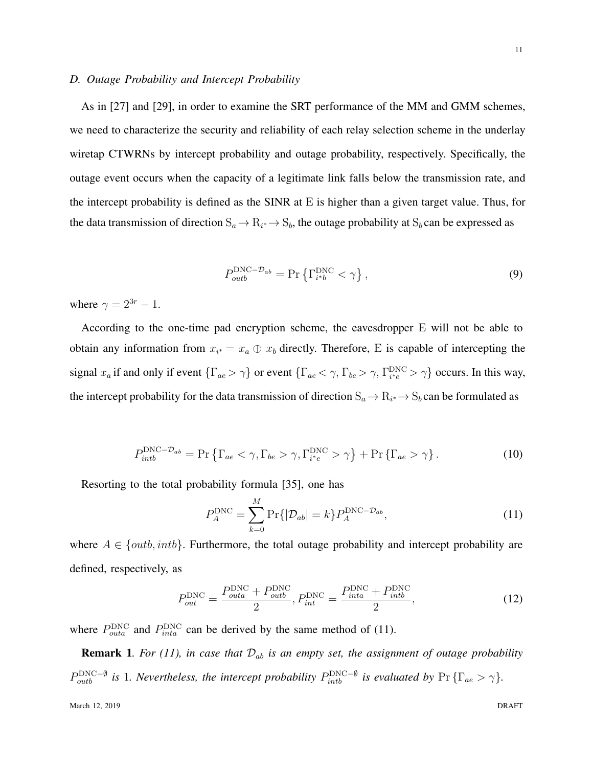#### *D. Outage Probability and Intercept Probability*

As in [27] and [29], in order to examine the SRT performance of the MM and GMM schemes, we need to characterize the security and reliability of each relay selection scheme in the underlay wiretap CTWRNs by intercept probability and outage probability, respectively. Specifically, the outage event occurs when the capacity of a legitimate link falls below the transmission rate, and the intercept probability is defined as the SINR at E is higher than a given target value. Thus, for the data transmission of direction  $S_a \to R_{i^*} \to S_b$ , the outage probability at  $S_b$  can be expressed as

$$
P_{outb}^{\text{DNC}-\mathcal{D}_{ab}} = \Pr\left\{\Gamma_{i^{*}b}^{\text{DNC}} < \gamma\right\},\tag{9}
$$

where  $\gamma = 2^{3r} - 1$ .

According to the one-time pad encryption scheme, the eavesdropper E will not be able to obtain any information from  $x_i$ <sup>\*</sup> =  $x_a \oplus x_b$  directly. Therefore, E is capable of intercepting the signal  $x_a$  if and only if event  $\{\Gamma_{ae} > \gamma\}$  or event  $\{\Gamma_{ae} < \gamma, \Gamma_{be} > \gamma, \Gamma_{i^*e}^{\text{DNC}} > \gamma\}$  occurs. In this way, the intercept probability for the data transmission of direction  $S_a \to R_{i^*} \to S_b$  can be formulated as

$$
P_{intb}^{\text{DNC}-\mathcal{D}_{ab}} = \Pr \left\{ \Gamma_{ae} < \gamma, \Gamma_{be} > \gamma, \Gamma_{i^*e}^{\text{DNC}} > \gamma \right\} + \Pr \left\{ \Gamma_{ae} > \gamma \right\}. \tag{10}
$$

Resorting to the total probability formula [35], one has

$$
P_A^{\text{DNC}} = \sum_{k=0}^{M} \Pr\{|\mathcal{D}_{ab}| = k\} P_A^{\text{DNC} - \mathcal{D}_{ab}},\tag{11}
$$

where  $A \in \{outb, intb\}$ . Furthermore, the total outage probability and intercept probability are defined, respectively, as

$$
P_{out}^{\text{DNC}} = \frac{P_{outa}^{\text{DNC}} + P_{outb}^{\text{DNC}}}{2}, P_{int}^{\text{DNC}} = \frac{P_{inta}^{\text{DNC}} + P_{intb}^{\text{DNC}}}{2}, \tag{12}
$$

where  $P_{outa}^{\text{DNC}}$  and  $P_{inta}^{\text{DNC}}$  can be derived by the same method of (11).

**Remark 1.** For (11), in case that  $\mathcal{D}_{ab}$  is an empty set, the assignment of outage probability  $P_{outb}^{\text{DNC}-\emptyset}$  *is* 1*. Nevertheless, the intercept probability*  $P_{intb}^{\text{DNC}-\emptyset}$  *is evaluated by* Pr { $\Gamma_{ae} > \gamma$ }*.*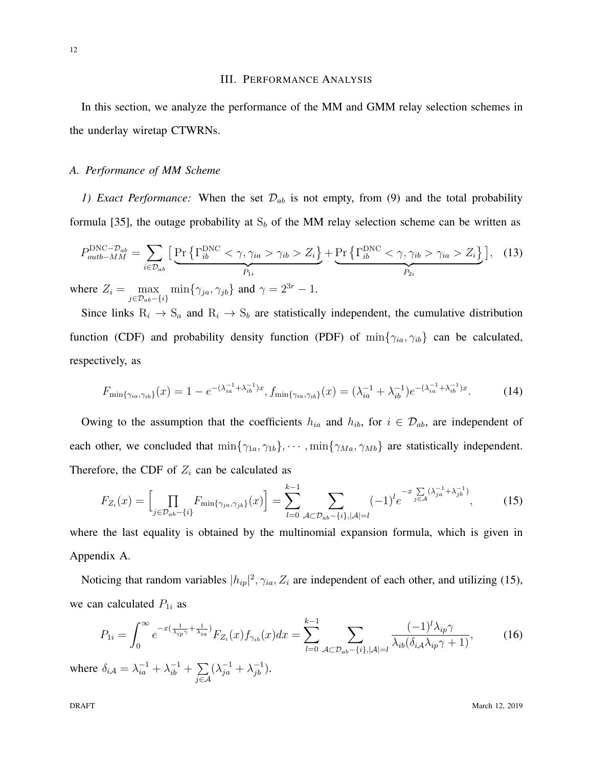#### III. PERFORMANCE ANALYSIS

In this section, we analyze the performance of the MM and GMM relay selection schemes in the underlay wiretap CTWRNs.

#### *A. Performance of MM Scheme*

*1) Exact Performance:* When the set  $\mathcal{D}_{ab}$  is not empty, from (9) and the total probability formula [35], the outage probability at  $S_b$  of the MM relay selection scheme can be written as

$$
P_{outb-MM}^{\text{DNC}-\mathcal{D}_{ab}} = \sum_{i \in \mathcal{D}_{ab}} \Big[ \underbrace{\Pr \Big\{ \Gamma_{ib}^{\text{DNC}} < \gamma, \gamma_{ia} > \gamma_{ib} > Z_i \Big\}}_{P_{1i}} + \underbrace{\Pr \Big\{ \Gamma_{ib}^{\text{DNC}} < \gamma, \gamma_{ib} > \gamma_{ia} > Z_i \Big\}}_{P_{2i}} \Big], \quad (13)
$$
\nhere  $Z_i = \max_{i \in \mathcal{D}_{ab}} \min \{ \gamma_{ia} \gamma_{ib} \} \text{ and } \gamma = 2^{3r} - 1$ 

where  $Z_i = \max_{j \in \mathcal{D}_{ab} - \{i\}} \min\{\gamma_{ja}, \gamma_{jb}\}\$  and  $\gamma = 2^{3r} - 1$ . Since links  $R_i \rightarrow S_a$  and  $R_i \rightarrow S_b$  are statistically independent, the cumulative distribution

function (CDF) and probability density function (PDF) of min*{γia, γib}* can be calculated, respectively, as

$$
F_{\min\{\gamma_{ia},\gamma_{ib}\}}(x) = 1 - e^{-(\lambda_{ia}^{-1} + \lambda_{ib}^{-1})x}, f_{\min\{\gamma_{ia},\gamma_{ib}\}}(x) = (\lambda_{ia}^{-1} + \lambda_{ib}^{-1})e^{-(\lambda_{ia}^{-1} + \lambda_{ib}^{-1})x}.
$$
 (14)

Owing to the assumption that the coefficients  $h_{ia}$  and  $h_{ib}$ , for  $i \in \mathcal{D}_{ab}$ , are independent of each other, we concluded that  $\min\{\gamma_{1a}, \gamma_{1b}\}, \cdots, \min\{\gamma_{Ma}, \gamma_{Mb}\}\$ are statistically independent. Therefore, the CDF of  $Z_i$  can be calculated as

$$
F_{Z_i}(x) = \left[\prod_{j \in \mathcal{D}_{ab} - \{i\}} F_{\min\{\gamma_{ja}, \gamma_{jb}\}}(x)\right] = \sum_{l=0}^{k-1} \sum_{\mathcal{A} \subset \mathcal{D}_{ab} - \{i\}, |\mathcal{A}| = l} (-1)^l e^{-x \sum_{j \in \mathcal{A}} (\lambda_{ja}^{-1} + \lambda_{jb}^{-1})},\tag{15}
$$

where the last equality is obtained by the multinomial expansion formula, which is given in Appendix A.

Noticing that random variables  $|h_{ip}|^2$ ,  $\gamma_{ia}$ ,  $Z_i$  are independent of each other, and utilizing (15), we can calculated  $P_{1i}$  as

$$
P_{1i} = \int_0^\infty e^{-x(\frac{1}{\lambda_{ip}\gamma} + \frac{1}{\lambda_{ia}})} F_{Z_i}(x) f_{\gamma_{ib}}(x) dx = \sum_{l=0}^{k-1} \sum_{\mathcal{A} \subset \mathcal{D}_{ab} - \{i\}, |\mathcal{A}| = l} \frac{(-1)^l \lambda_{ip}\gamma}{\lambda_{ib}(\delta_{i\mathcal{A}}\lambda_{ip}\gamma + 1)},
$$
(16)  
e  $\delta_{i\mathcal{A}} = \lambda_{ia}^{-1} + \lambda_{ib}^{-1} + \sum (\lambda_{ja}^{-1} + \lambda_{jb}^{-1}).$ 

 $\Phi$  *M*  $\Phi$  *m*  $\Phi$  *a*  $\Phi$  *n*  $\Phi$  *a*  $\Phi$  *n*  $\Phi$  *n*  $\Phi$  *n*  $\Phi$  *n*  $\Phi$  *n*  $\Phi$  *n*  $\Phi$  *n*  $\Phi$  *n*  $\Phi$  *n*  $\Phi$  *n*  $\Phi$  *n*  $\Phi$  *n*  $\Phi$  *n*  $\Phi$  *n*  $\Phi$  *n*  $\Phi$  *n*  $\Phi$  *n*  $\Phi$  *n*  $\Phi$  *n*  $\Phi$   $\frac{-1}{ib}$  + *j∈A*

**DRAFT** March 12, 2019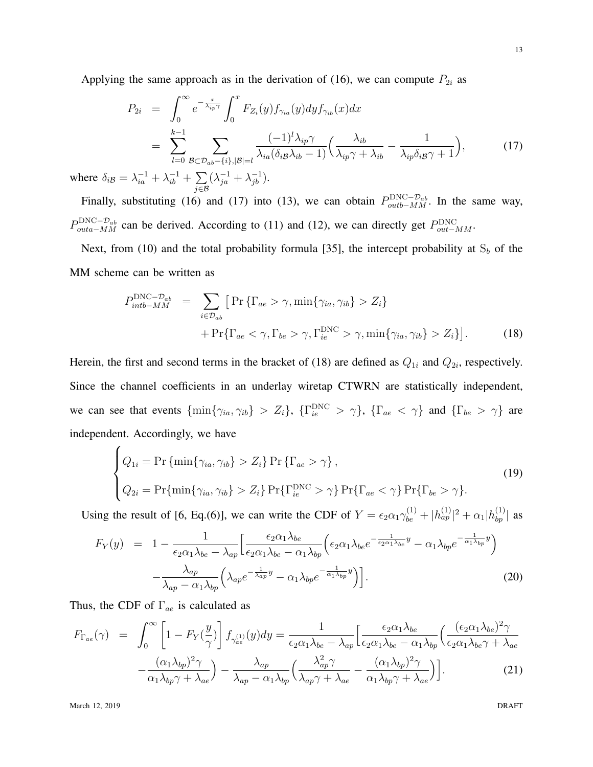Applying the same approach as in the derivation of (16), we can compute  $P_{2i}$  as

$$
P_{2i} = \int_0^\infty e^{-\frac{x}{\lambda_{ip}\gamma}} \int_0^x F_{Z_i}(y) f_{\gamma_{ia}}(y) dy f_{\gamma_{ib}}(x) dx
$$
  
\n
$$
= \sum_{l=0}^{k-1} \sum_{\mathcal{B} \subset \mathcal{D}_{ab} - \{i\}, |\mathcal{B}| = l} \frac{(-1)^l \lambda_{ip}\gamma}{\lambda_{ia}(\delta_{i\mathcal{B}}\lambda_{ib} - 1)} \Big(\frac{\lambda_{ib}}{\lambda_{ip}\gamma + \lambda_{ib}} - \frac{1}{\lambda_{ip}\delta_{i\mathcal{B}}\gamma + 1}\Big),
$$
(17)

where  $\delta_{i\mathcal{B}} = \lambda_{ia}^{-1} + \lambda_{ib}^{-1} + \sum$ *j∈B*  $(\lambda_{ja}^{-1} + \lambda_{jb}^{-1}).$ 

Finally, substituting (16) and (17) into (13), we can obtain  $P_{\text{out}b-MM}^{\text{DNC}-\mathcal{D}_{ab}}$ . In the same way,  $P_{outa-MM}^{\text{DNC}-\mathcal{D}_{ab}}$  can be derived. According to (11) and (12), we can directly get  $P_{out-MM}^{\text{DNC}}$ .

Next, from (10) and the total probability formula [35], the intercept probability at  $S_b$  of the MM scheme can be written as

$$
P_{intb-MM}^{\text{DNC}-\mathcal{D}_{ab}} = \sum_{i \in \mathcal{D}_{ab}} \left[ \Pr \left\{ \Gamma_{ae} > \gamma, \min \{ \gamma_{ia}, \gamma_{ib} \} > Z_i \right\} + \Pr \{ \Gamma_{ae} < \gamma, \Gamma_{be} > \gamma, \Gamma_{ie}^{\text{DNC}} > \gamma, \min \{ \gamma_{ia}, \gamma_{ib} \} > Z_i \} \right]. \tag{18}
$$

Herein, the first and second terms in the bracket of (18) are defined as  $Q_{1i}$  and  $Q_{2i}$ , respectively. Since the channel coefficients in an underlay wiretap CTWRN are statistically independent, we can see that events  $\{\min\{\gamma_{ia},\gamma_{ib}\}\geq Z_i\}$ ,  $\{\Gamma_{ie}^{\rm DNC}>\gamma\}$ ,  $\{\Gamma_{ae}<\gamma\}$  and  $\{\Gamma_{be}>\gamma\}$  are independent. Accordingly, we have

$$
\begin{cases}\nQ_{1i} = \Pr\{\min\{\gamma_{ia}, \gamma_{ib}\} > Z_i\} \Pr\{\Gamma_{ae} > \gamma\}, \\
Q_{2i} = \Pr\{\min\{\gamma_{ia}, \gamma_{ib}\} > Z_i\} \Pr\{\Gamma_{ie}^{\text{DNC}} > \gamma\} \Pr\{\Gamma_{ae} < \gamma\} \Pr\{\Gamma_{be} > \gamma\}.\n\end{cases}
$$
\n(19)

Using the result of [6, Eq.(6)], we can write the CDF of  $Y = \epsilon_2 \alpha_1 \gamma_{be}^{(1)} + |h_{ap}^{(1)}|^2 + \alpha_1 |h_{bp}^{(1)}|$  as

$$
F_Y(y) = 1 - \frac{1}{\epsilon_2 \alpha_1 \lambda_{be} - \lambda_{ap}} \left[ \frac{\epsilon_2 \alpha_1 \lambda_{be}}{\epsilon_2 \alpha_1 \lambda_{be} - \alpha_1 \lambda_{bp}} \left( \epsilon_2 \alpha_1 \lambda_{be} e^{-\frac{1}{\epsilon_2 \alpha_1 \lambda_{be}} y} - \alpha_1 \lambda_{bp} e^{-\frac{1}{\alpha_1 \lambda_{bp}} y} \right) - \frac{\lambda_{ap}}{\lambda_{ap} - \alpha_1 \lambda_{bp}} \left( \lambda_{ap} e^{-\frac{1}{\lambda_{ap}} y} - \alpha_1 \lambda_{bp} e^{-\frac{1}{\alpha_1 \lambda_{bp}} y} \right) \right].
$$
\n(20)

Thus, the CDF of Γ*ae* is calculated as

$$
F_{\Gamma_{ae}}(\gamma) = \int_0^\infty \left[ 1 - F_Y(\frac{y}{\gamma}) \right] f_{\gamma_{ae}^{(1)}}(y) dy = \frac{1}{\epsilon_2 \alpha_1 \lambda_{be} - \lambda_{ap}} \left[ \frac{\epsilon_2 \alpha_1 \lambda_{be}}{\epsilon_2 \alpha_1 \lambda_{be} - \alpha_1 \lambda_{bp}} \left( \frac{(\epsilon_2 \alpha_1 \lambda_{be})^2 \gamma}{\epsilon_2 \alpha_1 \lambda_{be} + \lambda_{ae}} - \frac{(\alpha_1 \lambda_{bp})^2 \gamma}{\alpha_1 \lambda_{bp} \gamma + \lambda_{ae}} \right) - \frac{\lambda_{ap}}{\lambda_{ap} - \alpha_1 \lambda_{bp}} \left( \frac{\lambda_{ap}^2 \gamma}{\lambda_{ap} \gamma + \lambda_{ae}} - \frac{(\alpha_1 \lambda_{bp})^2 \gamma}{\alpha_1 \lambda_{bp} \gamma + \lambda_{ae}} \right) \right].
$$
 (21)

March 12, 2019 DRAFT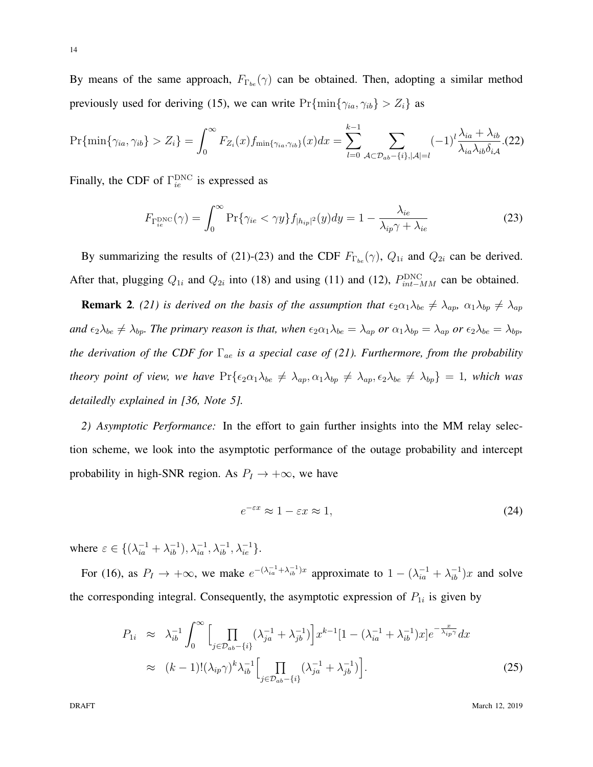By means of the same approach,  $F_{\Gamma_{bc}}(\gamma)$  can be obtained. Then, adopting a similar method previously used for deriving (15), we can write  $Pr{\min{\gamma_{ia}, \gamma_{ib}}} > Z_i$  as

$$
\Pr\{\min\{\gamma_{ia},\gamma_{ib}\} > Z_i\} = \int_0^\infty F_{Z_i}(x) f_{\min\{\gamma_{ia},\gamma_{ib}\}}(x) dx = \sum_{l=0}^{k-1} \sum_{\mathcal{A} \subset \mathcal{D}_{ab} - \{i\}, |\mathcal{A}| = l} (-1)^l \frac{\lambda_{ia} + \lambda_{ib}}{\lambda_{ia} \lambda_{ib} \delta_{i\mathcal{A}}} (22)
$$

Finally, the CDF of  $\Gamma_{ie}^{\text{DNC}}$  is expressed as

$$
F_{\Gamma_{ie}^{\text{DNC}}}(\gamma) = \int_0^\infty \Pr\{\gamma_{ie} < \gamma y\} f_{|h_{ip}|^2}(y) dy = 1 - \frac{\lambda_{ie}}{\lambda_{ip}\gamma + \lambda_{ie}}\tag{23}
$$

By summarizing the results of (21)-(23) and the CDF  $F_{\Gamma_{be}}(\gamma)$ ,  $Q_{1i}$  and  $Q_{2i}$  can be derived. After that, plugging  $Q_{1i}$  and  $Q_{2i}$  into (18) and using (11) and (12),  $P_{int-MM}^{\text{DNC}}$  can be obtained.

**Remark 2**. (21) is derived on the basis of the assumption that  $\epsilon_2 \alpha_1 \lambda_{be} \neq \lambda_{ap}$ ,  $\alpha_1 \lambda_{bp} \neq \lambda_{ap}$ and  $\epsilon_2\lambda_{be} \neq \lambda_{bp}$ . The primary reason is that, when  $\epsilon_2\alpha_1\lambda_{be} = \lambda_{ap}$  or  $\alpha_1\lambda_{bp} = \lambda_{ap}$  or  $\epsilon_2\lambda_{be} = \lambda_{bp}$ , *the derivation of the CDF for* Γ*ae is a special case of (21). Furthermore, from the probability* theory point of view, we have  $Pr\{\epsilon_2\alpha_1\lambda_{be} \neq \lambda_{ap}, \alpha_1\lambda_{bp} \neq \lambda_{ap}, \epsilon_2\lambda_{be} \neq \lambda_{bp}\} = 1$ , which was *detailedly explained in [36, Note 5].*

*2) Asymptotic Performance:* In the effort to gain further insights into the MM relay selection scheme, we look into the asymptotic performance of the outage probability and intercept probability in high-SNR region. As  $P_I \rightarrow +\infty$ , we have

$$
e^{-\varepsilon x} \approx 1 - \varepsilon x \approx 1,\tag{24}
$$

where  $\varepsilon \in \{(\lambda_{ia}^{-1} + \lambda_{ib}^{-1}), \lambda_{ia}^{-1}, \lambda_{ib}^{-1}, \lambda_{ie}^{-1}\}.$ 

For (16), as  $P_I \to +\infty$ , we make  $e^{-(\lambda_{ia}^{-1} + \lambda_{ib}^{-1})x}$  approximate to  $1 - (\lambda_{ia}^{-1} + \lambda_{ib}^{-1})x$  and solve the corresponding integral. Consequently, the asymptotic expression of  $P_{1i}$  is given by

$$
P_{1i} \approx \lambda_{ib}^{-1} \int_0^\infty \Big[ \prod_{j \in \mathcal{D}_{ab} - \{i\}} (\lambda_{ja}^{-1} + \lambda_{jb}^{-1}) \Big] x^{k-1} [1 - (\lambda_{ia}^{-1} + \lambda_{ib}^{-1}) x] e^{-\frac{x}{\lambda_{ip}\gamma}} dx
$$
  
 
$$
\approx (k-1)! (\lambda_{ip}\gamma)^k \lambda_{ib}^{-1} \Big[ \prod_{j \in \mathcal{D}_{ab} - \{i\}} (\lambda_{ja}^{-1} + \lambda_{jb}^{-1}) \Big].
$$
 (25)

**DRAFT** March 12, 2019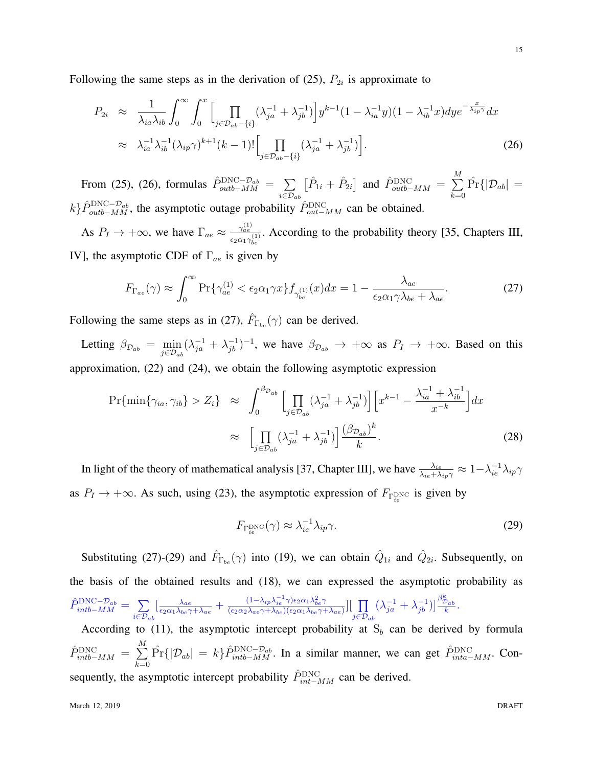Following the same steps as in the derivation of  $(25)$ ,  $P_{2i}$  is approximate to

$$
P_{2i} \approx \frac{1}{\lambda_{ia}\lambda_{ib}} \int_0^\infty \int_0^x \Biggl[ \prod_{j \in \mathcal{D}_{ab} - \{i\}} (\lambda_{ja}^{-1} + \lambda_{jb}^{-1}) \Biggr] y^{k-1} (1 - \lambda_{ia}^{-1} y)(1 - \lambda_{ib}^{-1} x) dy e^{-\frac{x}{\lambda_{ip}\gamma}} dx
$$
  
 
$$
\approx \lambda_{ia}^{-1} \lambda_{ib}^{-1} (\lambda_{ip}\gamma)^{k+1} (k-1)! \Biggl[ \prod_{j \in \mathcal{D}_{ab} - \{i\}} (\lambda_{ja}^{-1} + \lambda_{jb}^{-1}) \Biggr].
$$
 (26)

From (25), (26), formulas  $\hat{P}_{outb-MM}^{\text{DNC}-\mathcal{D}_{ab}} = \sum$ *i∈Dab*  $\left[ \hat{P}_{1i} + \hat{P}_{2i} \right]$  and  $\hat{P}_{outb-MM}^{\text{DNC}} = \sum_{i=1}^{M}$ *k*=0  $\hat{\Pr}\{|\mathcal{D}_{ab}| =$  $k$ *}* $\hat{P}_{outb-MM}^{\text{DNC}-\mathcal{D}_{ab}}$ , the asymptotic outage probability  $\hat{P}_{out-MM}^{\text{DNC}}$  can be obtained.

As  $P_I \rightarrow +\infty$ , we have  $\Gamma_{ae} \approx \frac{\gamma_{ae}^{(1)}}{2\pi}$  $\frac{\gamma_{\hat{a}\hat{e}}}{\epsilon_2 \alpha_1 \gamma_{be}^{(1)}}$ . According to the probability theory [35, Chapters III, IV], the asymptotic CDF of Γ*ae* is given by

$$
F_{\Gamma_{ae}}(\gamma) \approx \int_0^\infty \Pr\{\gamma_{ae}^{(1)} < \epsilon_2 \alpha_1 \gamma x\} f_{\gamma_{be}^{(1)}}(x) dx = 1 - \frac{\lambda_{ae}}{\epsilon_2 \alpha_1 \gamma \lambda_{be} + \lambda_{ae}}.\tag{27}
$$

Following the same steps as in (27),  $\hat{F}_{\Gamma_{be}}(\gamma)$  can be derived.

Letting  $\beta_{\mathcal{D}_{ab}} = \min_{j \in \mathcal{D}_{ab}} (\lambda_{ja}^{-1} + \lambda_{jb}^{-1})^{-1}$ , we have  $\beta_{\mathcal{D}_{ab}} \to +\infty$  as  $P_I \to +\infty$ . Based on this approximation, (22) and (24), we obtain the following asymptotic expression

$$
\Pr\{\min\{\gamma_{ia},\gamma_{ib}\} > Z_i\} \approx \int_0^{\beta_{\mathcal{D}_{ab}}} \left[\prod_{j\in\mathcal{D}_{ab}} (\lambda_{ja}^{-1} + \lambda_{jb}^{-1})\right] \left[x^{k-1} - \frac{\lambda_{ia}^{-1} + \lambda_{ib}^{-1}}{x^{-k}}\right] dx
$$

$$
\approx \left[\prod_{j\in\mathcal{D}_{ab}} (\lambda_{ja}^{-1} + \lambda_{jb}^{-1})\right] \frac{(\beta_{\mathcal{D}_{ab}})^k}{k}.
$$
(28)

In light of the theory of mathematical analysis [37, Chapter III], we have  $\frac{\lambda_{ie}}{\lambda_{ie}+\lambda_{ip}\gamma} \approx 1-\lambda_{ie}^{-1}\lambda_{ip}\gamma$ as  $P_I \rightarrow +\infty$ . As such, using (23), the asymptotic expression of  $F_{\Gamma_{ie}^{\text{DNC}}}$  is given by

$$
F_{\Gamma_{ie}^{\text{DNC}}}(\gamma) \approx \lambda_{ie}^{-1} \lambda_{ip} \gamma. \tag{29}
$$

Substituting (27)-(29) and  $\hat{F}_{\Gamma_{be}}(\gamma)$  into (19), we can obtain  $\hat{Q}_{1i}$  and  $\hat{Q}_{2i}$ . Subsequently, on the basis of the obtained results and (18), we can expressed the asymptotic probability as  $\hat{P}^{\mathrm{DNC}-\mathcal{D}_{ab}}_{intb-MM} = \sum$ *i∈Dab*  $\int \frac{\lambda_{ae}}{\epsilon_0 \alpha_1 \lambda_{12}}$  $\frac{\lambda_{ae}}{\epsilon_2\alpha_1\lambda_{be}\gamma+\lambda_{ae}}+\frac{(1-\lambda_{ip}\lambda_{ie}^{-1}\gamma)\epsilon_2\alpha_1\lambda_{be}^2\gamma}{(\epsilon_2\alpha_2\lambda_{ae}\gamma+\lambda_{be})(\epsilon_2\alpha_1\lambda_{be}\gamma+\gamma)}$  $\frac{(1-\lambda_{ip}\lambda_{ie}^{-\lambda}\gamma)\epsilon_{2}\alpha_{1}\lambda_{be}^{2}\gamma}{(\epsilon_{2}\alpha_{2}\lambda_{ae}\gamma+\lambda_{be})(\epsilon_{2}\alpha_{1}\lambda_{be}\gamma+\lambda_{ae})}\Big]\Big[\prod_{e\in\mathcal{P}_{e}}$ *j∈Dab*  $(\lambda_{ja}^{-1} + \lambda_{jb}^{-1})$ ] $\frac{\beta_{D_{ab}}^k}{k}$ .

According to (11), the asymptotic intercept probability at  $S_b$  can be derived by formula  $\hat{P}_{intb-MM}^{\text{DNC}} = \sum_{l=1}^{M}$ *k*=0  $\hat{Pr}\{|\mathcal{D}_{ab}| = k\}\hat{P}_{intb-MM}^{\text{DNC}-\mathcal{D}_{ab}}$ . In a similar manner, we can get  $\hat{P}_{inta-MM}^{\text{DNC}}$ . Consequently, the asymptotic intercept probability  $\hat{P}_{int-MM}^{\text{DNC}}$  can be derived.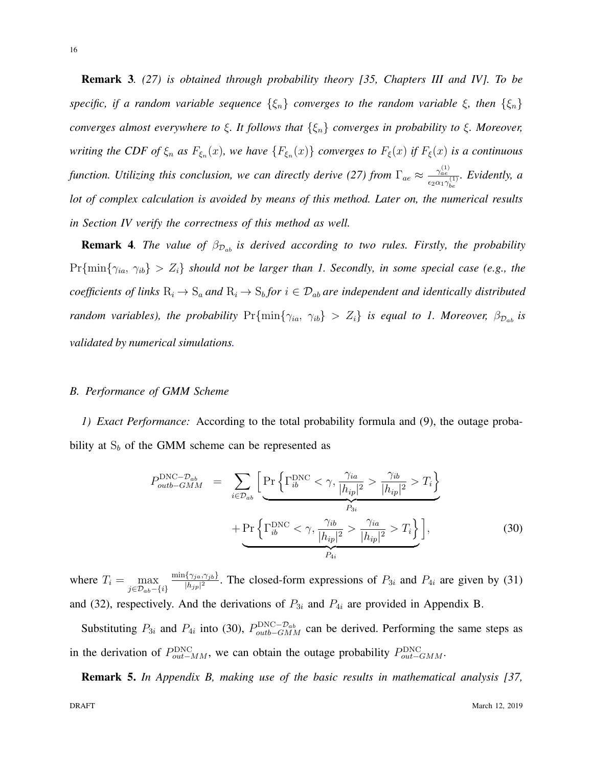Remark 3*. (27) is obtained through probability theory [35, Chapters III and IV]. To be specific, if a random variable sequence {ξn} converges to the random variable ξ, then {ξn} converges almost everywhere to ξ. It follows that {ξn} converges in probability to ξ. Moreover,* writing the CDF of  $\xi_n$  as  $F_{\xi_n}(x)$ , we have  $\{F_{\xi_n}(x)\}$  converges to  $F_{\xi}(x)$  if  $F_{\xi}(x)$  is a continuous *function. Utilizing this conclusion, we can directly derive (27) from*  $\Gamma_{ae} \approx \frac{\gamma_{ae}^{(1)}}{2}$  $\frac{\gamma_{\hat{a}\hat{e}}^{\gamma}}{\epsilon_2\alpha_1\gamma_{be}^{(1)}}$ *. Evidently, a lot of complex calculation is avoided by means of this method. Later on, the numerical results in Section IV verify the correctness of this method as well.*

Remark 4*. The value of β<sup>D</sup>ab is derived according to two rules. Firstly, the probability*  $Pr{min{\gamma_{ia}, \gamma_{ib}}} > Z_i$  should not be larger than 1. Secondly, in some special case (e.g., the coefficients of links  $R_i \to S_a$  and  $R_i \to S_b$  for  $i \in \mathcal{D}_{ab}$  are independent and identically distributed random variables), the probability  $Pr{\min{\{\gamma_{ia, \gamma_{ib}\}}} > Z_i}$  is equal to 1. Moreover,  $\beta_{\mathcal{D}_{ab}}$  is *validated by numerical simulations.*

#### *B. Performance of GMM Scheme*

*1) Exact Performance:* According to the total probability formula and (9), the outage probability at  $S_b$  of the GMM scheme can be represented as

$$
P_{outb-GMM}^{\text{DNC}-\mathcal{D}_{ab}} = \sum_{i \in \mathcal{D}_{ab}} \left[ \Pr \left\{ \Gamma_{ib}^{\text{DNC}} < \gamma, \frac{\gamma_{ia}}{|h_{ip}|^2} > \frac{\gamma_{ib}}{|h_{ip}|^2} > T_i \right\} + \Pr \left\{ \Gamma_{ib}^{\text{DNC}} < \gamma, \frac{\gamma_{ib}}{|h_{ip}|^2} > \frac{\gamma_{ia}}{|h_{ip}|^2} > T_i \right\} \right],\tag{30}
$$

where  $T_i = \max_{j \in \mathcal{D}_{ab} - \{i\}}$ min*{γja,γjb}*  $\frac{\{Y_{ja}, Y_{jb}\}}{|h_{jp}|^2}$ . The closed-form expressions of  $P_{3i}$  and  $P_{4i}$  are given by (31) and (32), respectively. And the derivations of  $P_{3i}$  and  $P_{4i}$  are provided in Appendix B.

Substituting  $P_{3i}$  and  $P_{4i}$  into (30),  $P_{outb-GMM}^{\text{DNC}-\mathcal{D}_{ab}}$  can be derived. Performing the same steps as in the derivation of  $P_{out-MM}^{\text{DNC}}$ , we can obtain the outage probability  $P_{out-GMM}^{\text{DNC}}$ .

Remark 5. *In Appendix B, making use of the basic results in mathematical analysis [37,*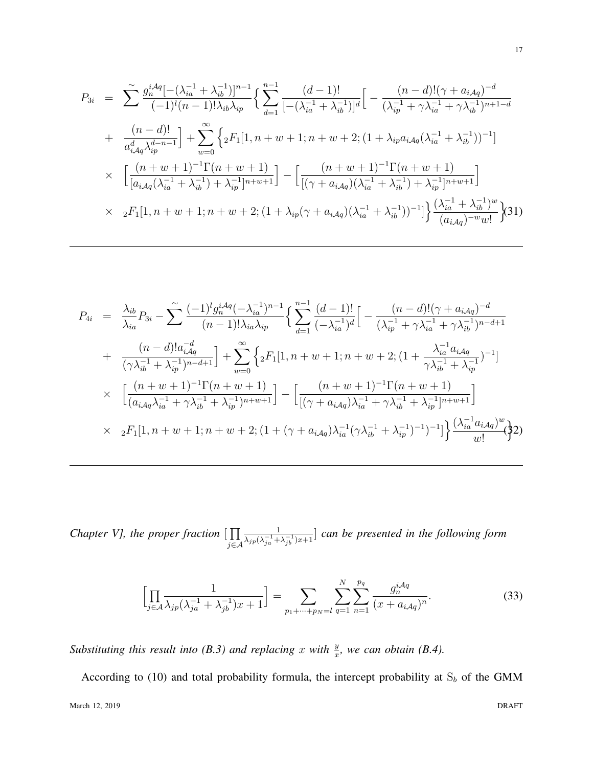$$
P_{3i} = \sum_{i}^{\infty} \frac{g_n^{iAq} [-(\lambda_{ia}^{-1} + \lambda_{ib}^{-1})]^{n-1}}{(-1)^i (n-1)! \lambda_{ib} \lambda_{ip}} \left\{ \sum_{d=1}^{n-1} \frac{(d-1)!}{[-(\lambda_{ia}^{-1} + \lambda_{ib}^{-1})]^d} \left[ -\frac{(n-d)!(\gamma + a_{iAq})^{-d}}{(\lambda_{ip}^{-1} + \gamma \lambda_{ia}^{-1} + \gamma \lambda_{ib}^{-1})^{n+1-d}} \right. \right.+ \frac{(n-d)!}{a_{iAq}^d \lambda_{ip}^{d-n-1}} \left] + \sum_{w=0}^{\infty} \left\{ {}_2F_1[1, n+w+1; n+w+2; (1+\lambda_{ip}a_{iAq}(\lambda_{ia}^{-1} + \lambda_{ib}^{-1}))^{-1}] \right. \right.\times \left. \left[ \frac{(n+w+1)^{-1}\Gamma(n+w+1)}{[a_{iAq}(\lambda_{ia}^{-1} + \lambda_{ib}^{-1}) + \lambda_{ip}^{-1}]^{n+w+1}} \right] - \left[ \frac{(n+w+1)^{-1}\Gamma(n+w+1)}{[(\gamma + a_{iAq})(\lambda_{ia}^{-1} + \lambda_{ib}^{-1}) + \lambda_{ip}^{-1}]^{n+w+1}} \right] \right.\times 2F_1[1, n+w+1; n+w+2; (1+\lambda_{ip}(\gamma + a_{iAq})(\lambda_{ia}^{-1} + \lambda_{ib}^{-1}))^{-1}] \left\{ \frac{(\lambda_{ia}^{-1} + \lambda_{ib}^{-1})^w}{(a_{iAq})^{-w}w!} \right\} (31)
$$

$$
P_{4i} = \frac{\lambda_{ib}}{\lambda_{ia}} P_{3i} - \sum_{n=1}^{\infty} \frac{(-1)^{l} g_{n}^{i} A_{q}(-\lambda_{ia}^{-1})^{n-1}}{(n-1)! \lambda_{ia} \lambda_{ip}} \left\{ \sum_{d=1}^{n-1} \frac{(d-1)!}{(-\lambda_{ia}^{-1})^{d}} \left[ -\frac{(n-d)!(\gamma + a_{i}A_{q})^{-d}}{(\lambda_{ip}^{-1} + \gamma \lambda_{ia}^{-1} + \gamma \lambda_{ib}^{-1})^{n-d+1}} \right] \right. \\
\left. + \frac{(n-d)! a_{i}^{-d}}{(\gamma \lambda_{ib}^{-1} + \lambda_{ip}^{-1})^{n-d+1}} \right] + \sum_{w=0}^{\infty} \left\{ {}_{2}F_{1}[1, n+w+1; n+w+2; (1 + \frac{\lambda_{ia}^{-1} a_{i} A_{q}}{\gamma \lambda_{ib}^{-1} + \lambda_{ip}^{-1}})^{-1}] \right\} \\
\times \left[ \frac{(n+w+1)^{-1} \Gamma(n+w+1)}{(a_{i}A_{q}\lambda_{ia}^{-1} + \gamma \lambda_{ib}^{-1} + \lambda_{ip}^{-1})^{n+w+1}} \right] - \left[ \frac{(n+w+1)^{-1} \Gamma(n+w+1)}{[(\gamma + a_{i}A_{q})\lambda_{ia}^{-1} + \gamma \lambda_{ib}^{-1} + \lambda_{ip}^{-1})^{n+w+1}} \right] \\
\times {}_{2}F_{1}[1, n+w+1; n+w+2; (1 + (\gamma + a_{i}A_{q})\lambda_{ia}^{-1} (\gamma \lambda_{ib}^{-1} + \lambda_{ip}^{-1})^{-1})^{-1}] \right\} \frac{(\lambda_{ia}^{-1} a_{i}A_{q})^{w}}{w!} \right\} \cdot 2)
$$

*Chapter V], the proper fraction* [ ∏ *j∈A* 1  $\frac{1}{\lambda_{jp}(\lambda_{ja}^{-1}+\lambda_{jb}^{-1})x+1}$  *can be presented in the following form* 

$$
\left[\prod_{j\in\mathcal{A}}\frac{1}{\lambda_{jp}(\lambda_{ja}^{-1}+\lambda_{jb}^{-1})x+1}\right] = \sum_{p_1+\cdots+p_N=l}\sum_{q=1}^N\sum_{n=1}^{p_q}\frac{g_n^{i\mathcal{A}q}}{(x+a_{i\mathcal{A}q})^n}.
$$
(33)

*Substituting this result into (B.3) and replacing*  $x$  *with*  $\frac{y}{x}$ *, we can obtain (B.4).* 

According to (10) and total probability formula, the intercept probability at  $S_b$  of the GMM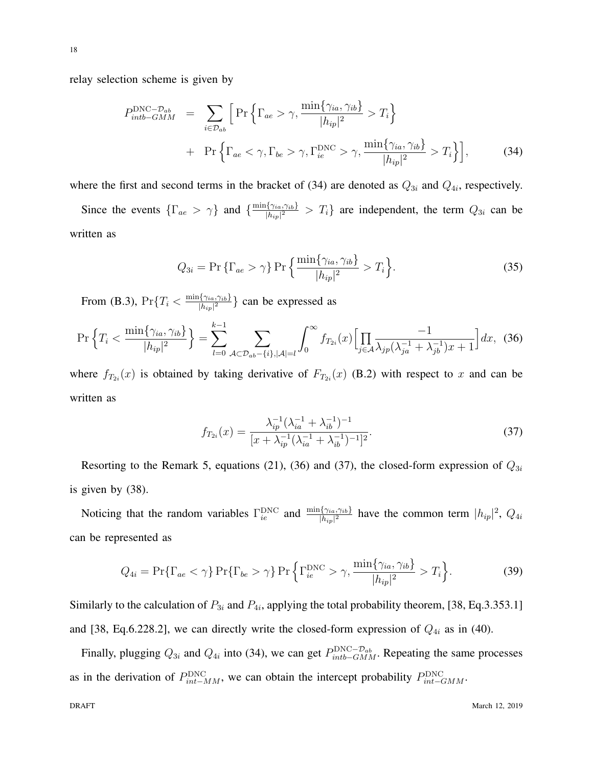relay selection scheme is given by

$$
P_{intb-GMM}^{\text{DNC}-\mathcal{D}_{ab}} = \sum_{i \in \mathcal{D}_{ab}} \left[ \Pr \left\{ \Gamma_{ae} > \gamma, \frac{\min \{ \gamma_{ia}, \gamma_{ib} \}}{|h_{ip}|^2} > T_i \right\} + \Pr \left\{ \Gamma_{ae} < \gamma, \Gamma_{be} > \gamma, \Gamma_{ie}^{\text{DNC}} > \gamma, \frac{\min \{ \gamma_{ia}, \gamma_{ib} \}}{|h_{ip}|^2} > T_i \right\} \right],
$$
(34)

where the first and second terms in the bracket of  $(34)$  are denoted as  $Q_{3i}$  and  $Q_{4i}$ , respectively.

Since the events  $\{\Gamma_{ae} > \gamma\}$  and  $\{\frac{\min\{\gamma_{ia}, \gamma_{ib}\}}{|h_{ia}|^2}\}$  $\frac{\partial \{\gamma_{ia}, \gamma_{ib}\}}{\partial h_{ip}|^2}$  >  $T_i$ } are independent, the term  $Q_{3i}$  can be written as

$$
Q_{3i} = \Pr \left\{ \Gamma_{ae} > \gamma \right\} \Pr \left\{ \frac{\min \{ \gamma_{ia}, \gamma_{ib} \}}{|h_{ip}|^2} > T_i \right\}.
$$
 (35)

From (B.3),  $Pr\{T_i < \frac{\min\{\gamma_{ia}, \gamma_{ib}\}}{|h_{is}|^2}\}$  $\binom{1}{k}$   $\binom{2}{i}$  can be expressed as

$$
\Pr\left\{T_i < \frac{\min\{\gamma_{ia}, \gamma_{ib}\}}{|h_{ip}|^2}\right\} = \sum_{l=0}^{k-1} \sum_{\mathcal{A}\subset \mathcal{D}_{ab}-\{i\}, |\mathcal{A}|=l} \int_0^\infty f_{T_{2i}}(x) \Big[ \prod_{j\in\mathcal{A}} \frac{-1}{\lambda_{jp}(\lambda_{ja}^{-1} + \lambda_{jb}^{-1})x + 1} \Big] dx,\tag{36}
$$

where  $f_{T_{2i}}(x)$  is obtained by taking derivative of  $F_{T_{2i}}(x)$  (B.2) with respect to x and can be written as

$$
f_{T_{2i}}(x) = \frac{\lambda_{ip}^{-1}(\lambda_{ia}^{-1} + \lambda_{ib}^{-1})^{-1}}{[x + \lambda_{ip}^{-1}(\lambda_{ia}^{-1} + \lambda_{ib}^{-1})^{-1}]^2}.
$$
 (37)

Resorting to the Remark 5, equations (21), (36) and (37), the closed-form expression of *Q*3*<sup>i</sup>* is given by (38).

Noticing that the random variables  $\Gamma_{ie}^{\text{DNC}}$  and  $\frac{\min\{\gamma_{ia},\gamma_{ib}\}}{|h_{ip}|^2}$  have the common term  $|h_{ip}|^2$ ,  $Q_{4i}$ can be represented as

$$
Q_{4i} = \Pr\{\Gamma_{ae} < \gamma\} \Pr\{\Gamma_{be} > \gamma\} \Pr\left\{\Gamma_{ie}^{\text{DNC}} > \gamma, \frac{\min\{\gamma_{ia}, \gamma_{ib}\}}{|h_{ip}|^2} > T_i\right\}.\tag{39}
$$

Similarly to the calculation of  $P_{3i}$  and  $P_{4i}$ , applying the total probability theorem, [38, Eq.3.353.1] and [38, Eq.6.228.2], we can directly write the closed-form expression of  $Q_{4i}$  as in (40).

Finally, plugging  $Q_{3i}$  and  $Q_{4i}$  into (34), we can get  $P_{into-GMM}^{\text{DNC}-\mathcal{D}_{ab}}$ . Repeating the same processes as in the derivation of  $P_{int-MM}^{\text{DNC}}$ , we can obtain the intercept probability  $P_{int-GMM}^{\text{DNC}}$ .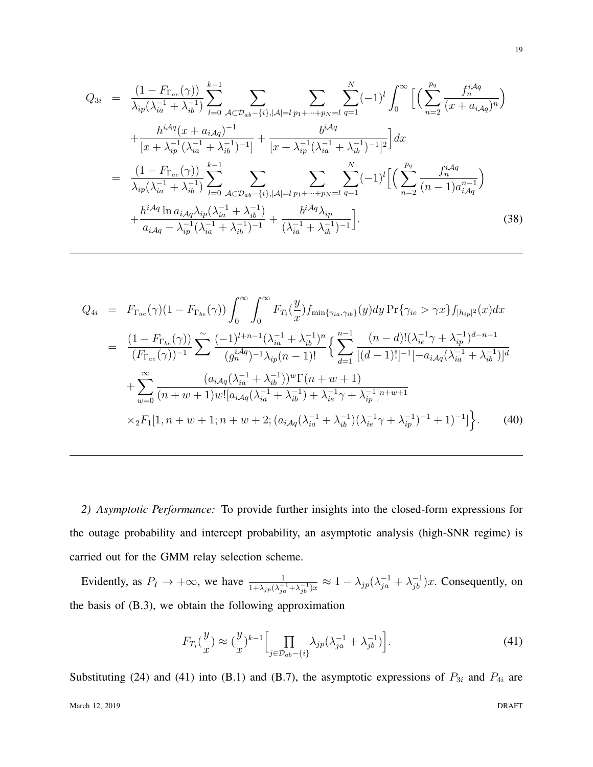$$
Q_{3i} = \frac{(1 - F_{\Gamma_{ae}}(\gamma))}{\lambda_{ip}(\lambda_{ia}^{-1} + \lambda_{ib}^{-1})} \sum_{l=0}^{k-1} \sum_{A \subset \mathcal{D}_{ab} - \{i\}, |A| = l} \sum_{p_1 + \dots + p_N = l} \sum_{q=1}^{N} (-1)^l \int_0^{\infty} \left[ \left( \sum_{n=2}^{p_q} \frac{f_n^{iAq}}{(x + a_{iAq})^n} \right) \right] + \frac{h^{iAq}(x + a_{iAq})^{-1}}{[x + \lambda_{ip}^{-1}(\lambda_{ia}^{-1} + \lambda_{ib}^{-1})^{-1}]} + \frac{b^{iAq}}{[x + \lambda_{ip}^{-1}(\lambda_{ia}^{-1} + \lambda_{ib}^{-1})^{-1}]^2} \right] dx
$$
  
\n
$$
= \frac{(1 - F_{\Gamma_{ae}}(\gamma))}{\lambda_{ip}(\lambda_{ia}^{-1} + \lambda_{ib}^{-1})} \sum_{l=0}^{k-1} \sum_{A \subset \mathcal{D}_{ab} - \{i\}, |A| = l} \sum_{p_1 + \dots + p_N = l} \sum_{q=1}^{N} (-1)^l \left[ \left( \sum_{n=2}^{p_q} \frac{f_n^{iAq}}{(n-1)a_{iAq}^{n-1}} \right) + \frac{h^{iAq} \ln a_{iAq} \lambda_{ip} (\lambda_{ia}^{-1} + \lambda_{ib}^{-1})}{a_{iAq} - \lambda_{ip}^{-1}(\lambda_{ia}^{-1} + \lambda_{ib}^{-1})^{-1}} + \frac{h^{iAq} \lambda_{ip}}{(\lambda_{ia}^{-1} + \lambda_{ib}^{-1})^{-1}} \right].
$$
\n(38)

$$
Q_{4i} = F_{\Gamma_{ae}}(\gamma)(1 - F_{\Gamma_{be}}(\gamma)) \int_{0}^{\infty} \int_{0}^{\infty} F_{T_i}(\frac{y}{x}) f_{\min\{\gamma_{ia},\gamma_{ib}\}}(y) dy \Pr{\gamma_{ie} > \gamma x\} f_{|h_{ip}|^{2}}(x) dx
$$
  
\n
$$
= \frac{(1 - F_{\Gamma_{be}}(\gamma))}{(F_{\Gamma_{ae}}(\gamma))^{-1}} \sum_{j} \frac{(-1)^{l+n-1} (\lambda_{ia}^{-1} + \lambda_{ib}^{-1})^{n}}{(g_n^{i\mathcal{A}q})^{-1} \lambda_{ip}(n-1)!} \left\{ \sum_{d=1}^{n-1} \frac{(n-d)!(\lambda_{ie}^{-1}\gamma + \lambda_{ip}^{-1})^{d-n-1}}{[(d-1)!]^{-1}[-a_{i\mathcal{A}q}(\lambda_{ia}^{-1} + \lambda_{ib}^{-1})]^{d}}
$$
  
\n
$$
+ \sum_{w=0}^{\infty} \frac{(a_{i\mathcal{A}q}(\lambda_{ia}^{-1} + \lambda_{ib}^{-1}))^{w} \Gamma(n+w+1)}{(n+w+1)w![a_{i\mathcal{A}q}(\lambda_{ia}^{-1} + \lambda_{ib}^{-1}) + \lambda_{ie}^{-1}\gamma + \lambda_{ip}^{-1}]^{n+w+1}}
$$
  
\n
$$
\times {}_{2}F_{1}[1, n+w+1; n+w+2; (a_{i\mathcal{A}q}(\lambda_{ia}^{-1} + \lambda_{ib}^{-1})(\lambda_{ie}^{-1}\gamma + \lambda_{ip}^{-1})^{-1} + 1)^{-1}] \Big\}.
$$
 (40)

*2) Asymptotic Performance:* To provide further insights into the closed-form expressions for the outage probability and intercept probability, an asymptotic analysis (high-SNR regime) is carried out for the GMM relay selection scheme.

Evidently, as  $P_I \to +\infty$ , we have  $\frac{1}{1+\lambda_{jp}(\lambda_{ja}^{-1}+\lambda_{jb}^{-1})x} \approx 1-\lambda_{jp}(\lambda_{ja}^{-1}+\lambda_{jb}^{-1})x$ . Consequently, on the basis of (B.3), we obtain the following approximation

$$
F_{T_i}(\frac{y}{x}) \approx (\frac{y}{x})^{k-1} \Big[ \prod_{j \in \mathcal{D}_{ab} - \{i\}} \lambda_{jp}(\lambda_{ja}^{-1} + \lambda_{jb}^{-1}) \Big]. \tag{41}
$$

Substituting (24) and (41) into (B.1) and (B.7), the asymptotic expressions of  $P_{3i}$  and  $P_{4i}$  are

19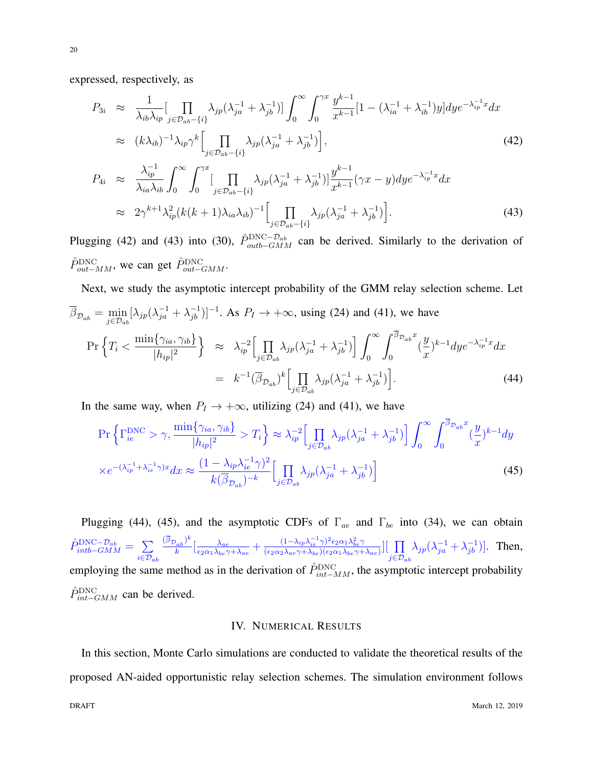expressed, respectively, as

$$
P_{3i} \approx \frac{1}{\lambda_{ib}\lambda_{ip}} \Big[ \prod_{j \in \mathcal{D}_{ab} - \{i\}} \lambda_{jp} (\lambda_{ja}^{-1} + \lambda_{jb}^{-1}) \Big] \int_0^\infty \int_0^{\gamma x} \frac{y^{k-1}}{x^{k-1}} [1 - (\lambda_{ia}^{-1} + \lambda_{ib}^{-1})y] dy e^{-\lambda_{ip}^{-1} x} dx
$$
  
 
$$
\approx (k\lambda_{ib})^{-1} \lambda_{ip} \gamma^k \Big[ \prod_{j \in \mathcal{D}_{ab} - \{i\}} \lambda_{jp} (\lambda_{ja}^{-1} + \lambda_{jb}^{-1}) \Big], \tag{42}
$$

$$
P_{4i} \approx \frac{\lambda_{ip}^{-1}}{\lambda_{ia}\lambda_{ib}} \int_0^\infty \int_0^{\gamma x} \left[ \prod_{j \in \mathcal{D}_{ab} - \{i\}} \lambda_{jp} (\lambda_{ja}^{-1} + \lambda_{jb}^{-1}) \right] \frac{y^{k-1}}{x^{k-1}} (\gamma x - y) dy e^{-\lambda_{ip}^{-1} x} dx
$$
  
 
$$
\approx 2\gamma^{k+1} \lambda_{ip}^2 (k(k+1)\lambda_{ia}\lambda_{ib})^{-1} \left[ \prod_{j \in \mathcal{D}_{ab} - \{i\}} \lambda_{jp} (\lambda_{ja}^{-1} + \lambda_{jb}^{-1}) \right].
$$
 (43)

Plugging (42) and (43) into (30),  $\hat{P}_{outb-GMM}^{DNC-D_{ab}}$  can be derived. Similarly to the derivation of  $\hat{P}_{out-MM}^{\text{DNC}}$ , we can get  $\hat{P}_{out-GMM}^{\text{DNC}}$ .

Next, we study the asymptotic intercept probability of the GMM relay selection scheme. Let  $\overline{\beta}_{\mathcal{D}_{ab}} = \min_{j \in \mathcal{D}_{ab}} [\lambda_{jp}(\lambda_{ja}^{-1} + \lambda_{jb}^{-1})]^{-1}$ . As  $P_I \to +\infty$ , using (24) and (41), we have  $\Pr \left\{ T_i \right.$ min*{γia, γib}*  $|h_{ip}|^2$  $}$  ≈  $λ_{ip}^{-2}$  Π *j∈Dab*  $\lambda_{jp}(\lambda_{ja}^{-1} + \lambda_{jb}^{-1})$ ] ∫ *<sup>∞</sup>*  $\boldsymbol{0}$  $\int_0^{\beta} \mathcal{D}_{ab} x$  $\boldsymbol{0}$ ( *y x* )<sup>*k*−1</sup>*dye*<sup>− $\lambda_{ip}^{-1}$ <sup>*x*</sup>*dx*</sup>  $= k^{-1}(\overline{\beta}_{\mathcal{D}_{ab}})^k \begin{bmatrix} \prod \end{bmatrix}$ *j∈Dab*  $\lambda_{jp}(\lambda_{ja}^{-1} + \lambda_{jb}^{-1})$ *.* (44)

In the same way, when  $P_I \rightarrow +\infty$ , utilizing (24) and (41), we have

$$
\Pr\left\{\Gamma_{ie}^{\text{DNC}} > \gamma, \frac{\min\{\gamma_{ia}, \gamma_{ib}\}}{|h_{ip}|^2} > T_i\right\} \approx \lambda_{ip}^{-2} \Big[\prod_{j \in \mathcal{D}_{ab}} \lambda_{jp} (\lambda_{ja}^{-1} + \lambda_{jb}^{-1})\Big] \int_0^\infty \int_0^{\beta_{\mathcal{D}_{ab}} x} (\frac{y}{x})^{k-1} dy
$$
  
 
$$
\times e^{-(\lambda_{ip}^{-1} + \lambda_{ie}^{-1}\gamma)x} dx \approx \frac{(1 - \lambda_{ip}\lambda_{ie}^{-1}\gamma)^2}{k(\overline{\beta}_{\mathcal{D}_{ab}})^{-k}} \Big[\prod_{j \in \mathcal{D}_{ab}} \lambda_{jp} (\lambda_{ja}^{-1} + \lambda_{jb}^{-1})\Big]
$$
(45)

Plugging (44), (45), and the asymptotic CDFs of Γ*ae* and Γ*be* into (34), we can obtain  $\hat{P}_{intb-GMM}^{\text{DNC}-\mathcal{D}_{ab}} = \sum$ *i∈Dab*  $(\overline{\beta}_{\mathcal{D}_{\bm{a}\bm{b}}})^k$  $\left[\frac{\lambda_{ab}}{k}\right]^n \left[\frac{\lambda_{ae}}{\epsilon_2 \alpha_1 \lambda_{be} \gamma}\right]$  $\frac{\lambda_{ae}}{\epsilon_2\alpha_1\lambda_{be}\gamma+\lambda_{ae}}+\frac{(1-\lambda_{ip}\lambda_{ie}^{-1}\gamma)^2\epsilon_2\alpha_1\lambda_{be}^2\gamma}{(\epsilon_2\alpha_2\lambda_{ae}\gamma+\lambda_{be})(\epsilon_2\alpha_1\lambda_{be}\gamma+\gamma)}$  $\frac{(1-\lambda_{ip}\lambda_{ie}^{-2}\gamma)^{2}\epsilon_{2}\alpha_{1}\lambda_{be}^{2}\gamma}{(\epsilon_{2}\alpha_{2}\lambda_{ae}\gamma+\lambda_{be})(\epsilon_{2}\alpha_{1}\lambda_{be}\gamma+\lambda_{ae})}\Big]\Big[\prod_{e\in\mathcal{P}_{e}}$ *j∈Dab*  $\lambda_{jp}(\lambda_{ja}^{-1} + \lambda_{jb}^{-1})$ ]. Then, employing the same method as in the derivation of  $\hat{P}_{int-MM}^{\text{DNC}}$ , the asymptotic intercept probability  $\hat{P}_{int-GMM}^{\text{DNC}}$  can be derived.

#### IV. NUMERICAL RESULTS

In this section, Monte Carlo simulations are conducted to validate the theoretical results of the proposed AN-aided opportunistic relay selection schemes. The simulation environment follows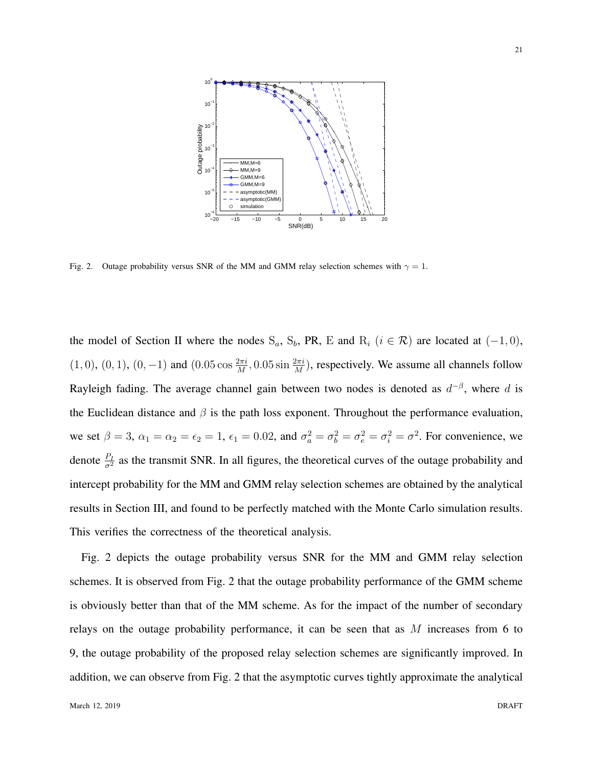

Fig. 2. Outage probability versus SNR of the MM and GMM relay selection schemes with  $\gamma = 1$ .

the model of Section II where the nodes  $S_a$ ,  $S_b$ , PR, E and  $R_i$  ( $i \in \mathcal{R}$ ) are located at (-1, 0),  $(1,0)$ ,  $(0,1)$ ,  $(0,-1)$  and  $(0.05 \cos \frac{2\pi i}{M}, 0.05 \sin \frac{2\pi i}{M})$ , respectively. We assume all channels follow Rayleigh fading. The average channel gain between two nodes is denoted as *d −β* , where *d* is the Euclidean distance and  $\beta$  is the path loss exponent. Throughout the performance evaluation, we set  $\beta = 3$ ,  $\alpha_1 = \alpha_2 = \epsilon_2 = 1$ ,  $\epsilon_1 = 0.02$ , and  $\sigma_a^2 = \sigma_b^2 = \sigma_e^2 = \sigma_i^2 = \sigma^2$ . For convenience, we denote  $\frac{P_I}{\sigma^2}$  as the transmit SNR. In all figures, the theoretical curves of the outage probability and intercept probability for the MM and GMM relay selection schemes are obtained by the analytical results in Section III, and found to be perfectly matched with the Monte Carlo simulation results. This verifies the correctness of the theoretical analysis.

Fig. 2 depicts the outage probability versus SNR for the MM and GMM relay selection schemes. It is observed from Fig. 2 that the outage probability performance of the GMM scheme is obviously better than that of the MM scheme. As for the impact of the number of secondary relays on the outage probability performance, it can be seen that as *M* increases from 6 to 9, the outage probability of the proposed relay selection schemes are significantly improved. In addition, we can observe from Fig. 2 that the asymptotic curves tightly approximate the analytical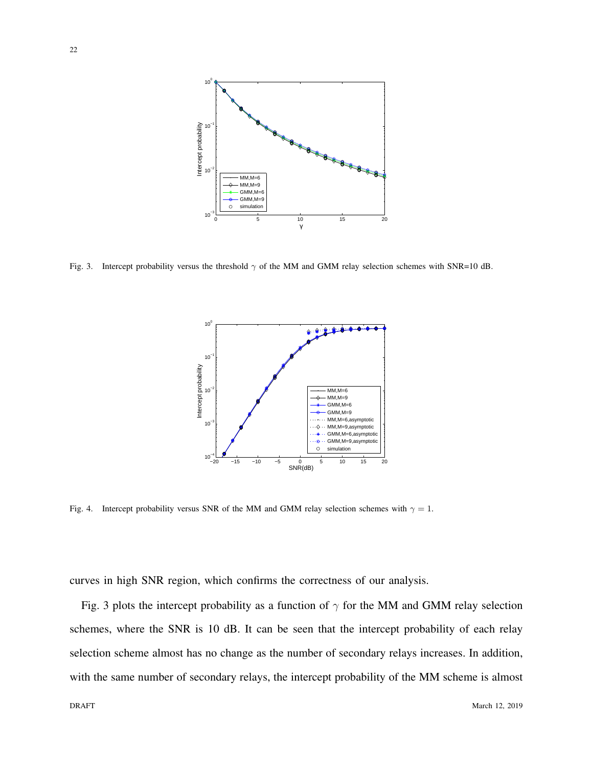

Fig. 3. Intercept probability versus the threshold *γ* of the MM and GMM relay selection schemes with SNR=10 dB.



Fig. 4. Intercept probability versus SNR of the MM and GMM relay selection schemes with  $\gamma = 1$ .

curves in high SNR region, which confirms the correctness of our analysis.

Fig. 3 plots the intercept probability as a function of  $\gamma$  for the MM and GMM relay selection schemes, where the SNR is 10 dB. It can be seen that the intercept probability of each relay selection scheme almost has no change as the number of secondary relays increases. In addition, with the same number of secondary relays, the intercept probability of the MM scheme is almost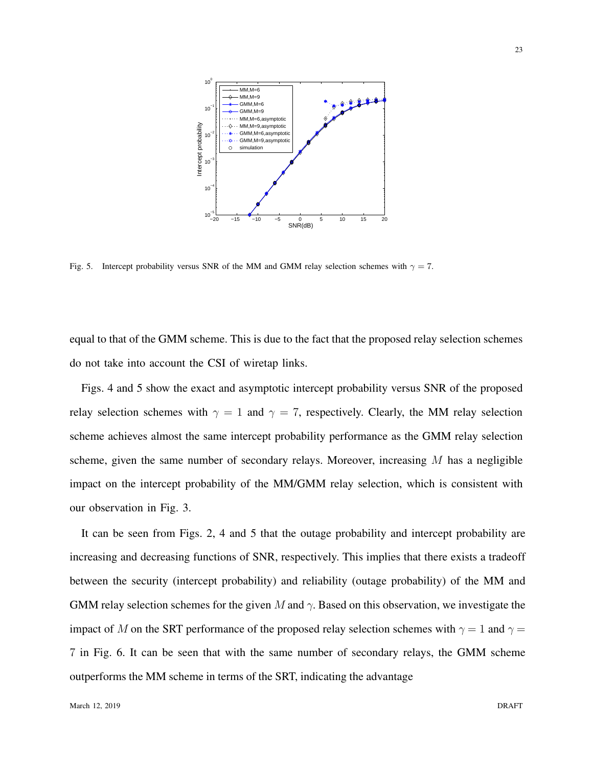

Fig. 5. Intercept probability versus SNR of the MM and GMM relay selection schemes with  $\gamma = 7$ .

equal to that of the GMM scheme. This is due to the fact that the proposed relay selection schemes do not take into account the CSI of wiretap links.

Figs. 4 and 5 show the exact and asymptotic intercept probability versus SNR of the proposed relay selection schemes with  $\gamma = 1$  and  $\gamma = 7$ , respectively. Clearly, the MM relay selection scheme achieves almost the same intercept probability performance as the GMM relay selection scheme, given the same number of secondary relays. Moreover, increasing *M* has a negligible impact on the intercept probability of the MM/GMM relay selection, which is consistent with our observation in Fig. 3.

It can be seen from Figs. 2, 4 and 5 that the outage probability and intercept probability are increasing and decreasing functions of SNR, respectively. This implies that there exists a tradeoff between the security (intercept probability) and reliability (outage probability) of the MM and GMM relay selection schemes for the given *M* and *γ*. Based on this observation, we investigate the impact of *M* on the SRT performance of the proposed relay selection schemes with  $\gamma = 1$  and  $\gamma =$ 7 in Fig. 6. It can be seen that with the same number of secondary relays, the GMM scheme outperforms the MM scheme in terms of the SRT, indicating the advantage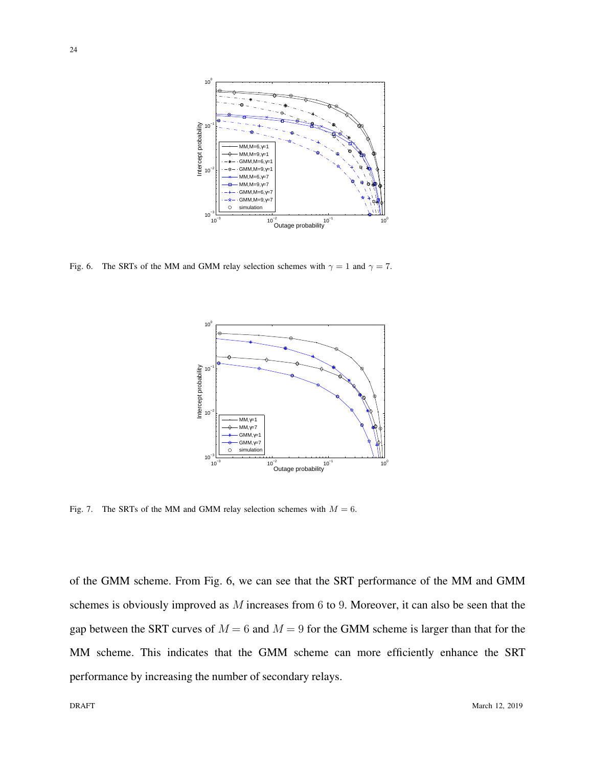

Fig. 6. The SRTs of the MM and GMM relay selection schemes with  $\gamma = 1$  and  $\gamma = 7$ .



Fig. 7. The SRTs of the MM and GMM relay selection schemes with  $M = 6$ .

of the GMM scheme. From Fig. 6, we can see that the SRT performance of the MM and GMM schemes is obviously improved as *M* increases from 6 to 9. Moreover, it can also be seen that the gap between the SRT curves of  $M = 6$  and  $M = 9$  for the GMM scheme is larger than that for the MM scheme. This indicates that the GMM scheme can more efficiently enhance the SRT performance by increasing the number of secondary relays.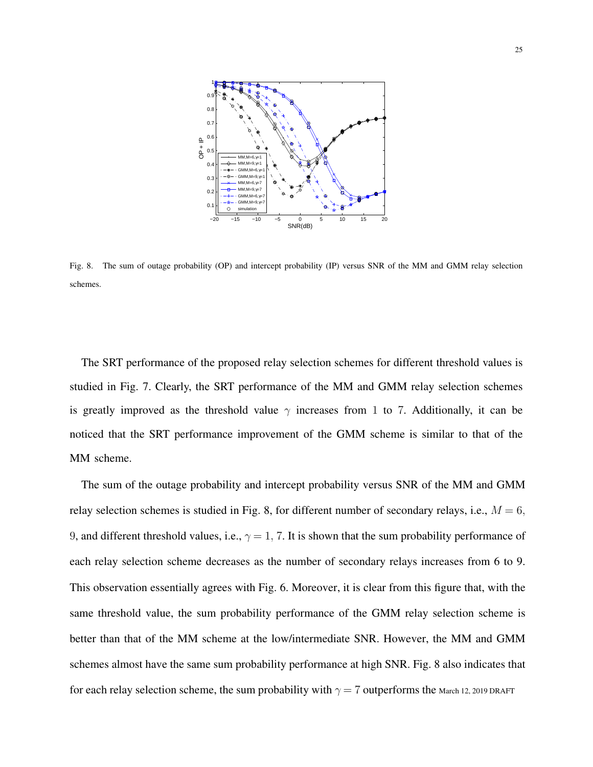

Fig. 8. The sum of outage probability (OP) and intercept probability (IP) versus SNR of the MM and GMM relay selection schemes.

The SRT performance of the proposed relay selection schemes for different threshold values is studied in Fig. 7. Clearly, the SRT performance of the MM and GMM relay selection schemes is greatly improved as the threshold value  $\gamma$  increases from 1 to 7. Additionally, it can be noticed that the SRT performance improvement of the GMM scheme is similar to that of the MM scheme.

The sum of the outage probability and intercept probability versus SNR of the MM and GMM relay selection schemes is studied in Fig. 8, for different number of secondary relays, i.e.,  $M = 6$ , 9, and different threshold values, i.e.,  $\gamma = 1$ , 7. It is shown that the sum probability performance of each relay selection scheme decreases as the number of secondary relays increases from 6 to 9. This observation essentially agrees with Fig. 6. Moreover, it is clear from this figure that, with the same threshold value, the sum probability performance of the GMM relay selection scheme is better than that of the MM scheme at the low/intermediate SNR. However, the MM and GMM schemes almost have the same sum probability performance at high SNR. Fig. 8 also indicates that for each relay selection scheme, the sum probability with  $\gamma = 7$  outperforms the March 12, 2019 DRAFT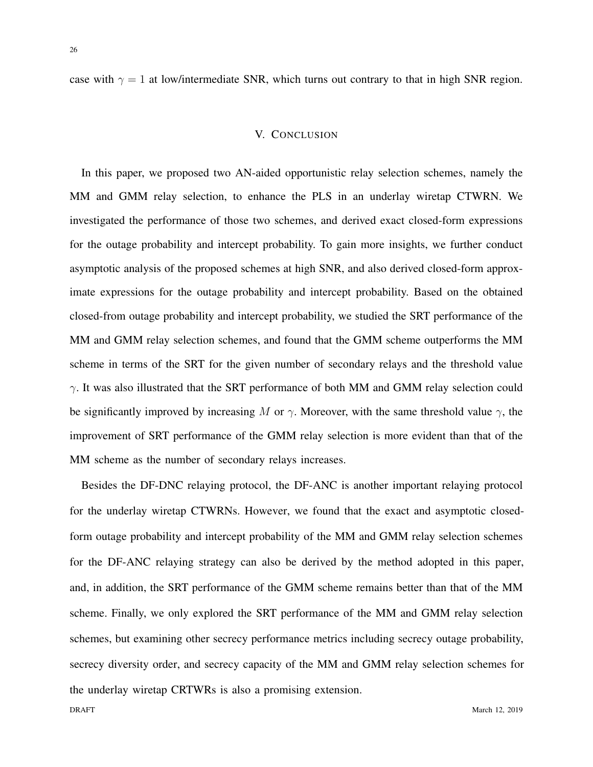case with  $\gamma = 1$  at low/intermediate SNR, which turns out contrary to that in high SNR region.

#### V. CONCLUSION

In this paper, we proposed two AN-aided opportunistic relay selection schemes, namely the MM and GMM relay selection, to enhance the PLS in an underlay wiretap CTWRN. We investigated the performance of those two schemes, and derived exact closed-form expressions for the outage probability and intercept probability. To gain more insights, we further conduct asymptotic analysis of the proposed schemes at high SNR, and also derived closed-form approximate expressions for the outage probability and intercept probability. Based on the obtained closed-from outage probability and intercept probability, we studied the SRT performance of the MM and GMM relay selection schemes, and found that the GMM scheme outperforms the MM scheme in terms of the SRT for the given number of secondary relays and the threshold value *γ*. It was also illustrated that the SRT performance of both MM and GMM relay selection could be significantly improved by increasing *M* or  $\gamma$ . Moreover, with the same threshold value  $\gamma$ , the improvement of SRT performance of the GMM relay selection is more evident than that of the MM scheme as the number of secondary relays increases.

Besides the DF-DNC relaying protocol, the DF-ANC is another important relaying protocol for the underlay wiretap CTWRNs. However, we found that the exact and asymptotic closedform outage probability and intercept probability of the MM and GMM relay selection schemes for the DF-ANC relaying strategy can also be derived by the method adopted in this paper, and, in addition, the SRT performance of the GMM scheme remains better than that of the MM scheme. Finally, we only explored the SRT performance of the MM and GMM relay selection schemes, but examining other secrecy performance metrics including secrecy outage probability, secrecy diversity order, and secrecy capacity of the MM and GMM relay selection schemes for the underlay wiretap CRTWRs is also a promising extension.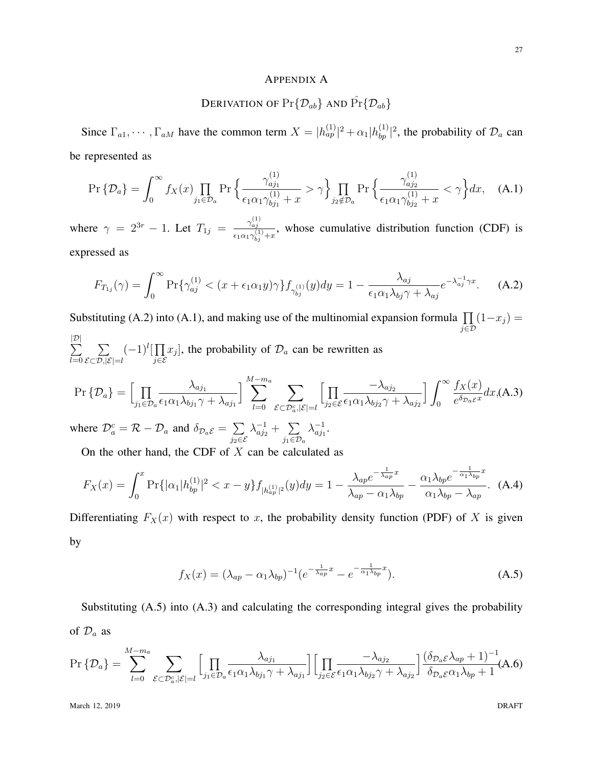#### APPENDIX A

#### DERIVATION OF  $Pr{\{\mathcal{D}_{ab}\}}$  AND  $Pr{\{\mathcal{D}_{ab}\}}$

Since  $\Gamma_{a1}, \cdots, \Gamma_{aM}$  have the common term  $X = |h_{ap}^{(1)}|^2 + \alpha_1 |h_{bp}^{(1)}|^2$ , the probability of  $\mathcal{D}_a$  can be represented as

$$
\Pr\{\mathcal{D}_a\} = \int_0^\infty f_X(x) \prod_{j_1 \in \mathcal{D}_a} \Pr\left\{ \frac{\gamma_{aj_1}^{(1)}}{\epsilon_1 \alpha_1 \gamma_{bj_1}^{(1)} + x} > \gamma \right\} \prod_{j_2 \notin \mathcal{D}_a} \Pr\left\{ \frac{\gamma_{aj_2}^{(1)}}{\epsilon_1 \alpha_1 \gamma_{bj_2}^{(1)} + x} < \gamma \right\} dx, \quad \text{(A.1)}
$$

where  $\gamma = 2^{3r} - 1$ . Let  $T_{1j} = \frac{\gamma_{aj}^{(1)}}{n}$  $\frac{a_{ij}}{\epsilon_1 \alpha_1 \gamma_{bj}^{(1)} + x}$ , whose cumulative distribution function (CDF) is expressed as

$$
F_{T_{1j}}(\gamma) = \int_0^\infty \Pr\{\gamma_{aj}^{(1)} < (x + \epsilon_1 \alpha_1 y)\gamma\} f_{\gamma_{bj}^{(1)}}(y) dy = 1 - \frac{\lambda_{aj}}{\epsilon_1 \alpha_1 \lambda_{bj} \gamma + \lambda_{aj}} e^{-\lambda_{aj}^{-1} \gamma x}.\tag{A.2}
$$

Substituting (A.2) into (A.1), and making use of the multinomial expansion formula  $\prod$ *j∈D*  $(1-x_j) =$ ∑ *|D| l*=0 ∑  $(-1)^l$ [ $\prod$ *j∈E*  $x_j$ , the probability of  $\mathcal{D}_a$  can be rewritten as

$$
\Pr\{\mathcal{D}_a\} = \left[\prod_{j_1 \in \mathcal{D}_a} \frac{\lambda_{aj_1}}{\epsilon_1 \alpha_1 \lambda_{bj_1} \gamma + \lambda_{aj_1}}\right] \sum_{l=0}^{M-m_a} \sum_{\mathcal{E} \subset \mathcal{D}_a^c, |\mathcal{E}| = l} \left[\prod_{j_2 \in \mathcal{E}} \frac{-\lambda_{aj_2}}{\epsilon_1 \alpha_1 \lambda_{bj_2} \gamma + \lambda_{aj_2}}\right] \int_0^\infty \frac{f_X(x)}{e^{\delta_{\mathcal{D}_a \mathcal{E}} x}} dx, \tag{A.3}
$$

where  $\mathcal{D}_a^c = \mathcal{R} - \mathcal{D}_a$  and  $\delta_{\mathcal{D}_a \mathcal{E}} = \sum$ *j*2*∈E*  $\lambda_{aj_2}^{-1} + \sum$ *j*1*∈D<sup>a</sup>*  $\lambda_{a}^{-1}$  $\frac{-1}{aj_1}$ .

On the other hand, the CDF of *X* can be calculated as

$$
F_X(x) = \int_0^x \Pr\{|\alpha_1| h_{bp}^{(1)}|^2 < x - y\} f_{|h_{ap}^{(1)}|^2}(y) dy = 1 - \frac{\lambda_{ap} e^{-\frac{1}{\lambda_{ap}}x}}{\lambda_{ap} - \alpha_1 \lambda_{bp}} - \frac{\alpha_1 \lambda_{bp} e^{-\frac{1}{\alpha_1 \lambda_{bp}}x}}{\alpha_1 \lambda_{bp} - \lambda_{ap}}.\tag{A.4}
$$

Differentiating  $F_X(x)$  with respect to *x*, the probability density function (PDF) of *X* is given by

$$
f_X(x) = (\lambda_{ap} - \alpha_1 \lambda_{bp})^{-1} (e^{-\frac{1}{\lambda_{ap}}x} - e^{-\frac{1}{\alpha_1 \lambda_{bp}}x}).
$$
 (A.5)

Substituting (A.5) into (A.3) and calculating the corresponding integral gives the probability of  $\mathcal{D}_a$  as

$$
\Pr\left\{\mathcal{D}_{a}\right\} = \sum_{l=0}^{M-m_a} \sum_{\mathcal{E}\subset\mathcal{D}_{a}^c,|\mathcal{E}|=l} \Big[ \prod_{j_1\in\mathcal{D}_a} \frac{\lambda_{aj_1}}{\epsilon_1\alpha_1\lambda_{bj_1}\gamma + \lambda_{aj_1}} \Big] \Big[ \prod_{j_2\in\mathcal{E}} \frac{-\lambda_{aj_2}}{\epsilon_1\alpha_1\lambda_{bj_2}\gamma + \lambda_{aj_2}} \Big] \frac{(\delta_{\mathcal{D}_a\mathcal{E}}\lambda_{ap}+1)^{-1}}{\delta_{\mathcal{D}_a\mathcal{E}}\alpha_1\lambda_{bp}+1} (A.6)
$$

March 12, 2019 DRAFT

*E⊂D,|E|*=*l*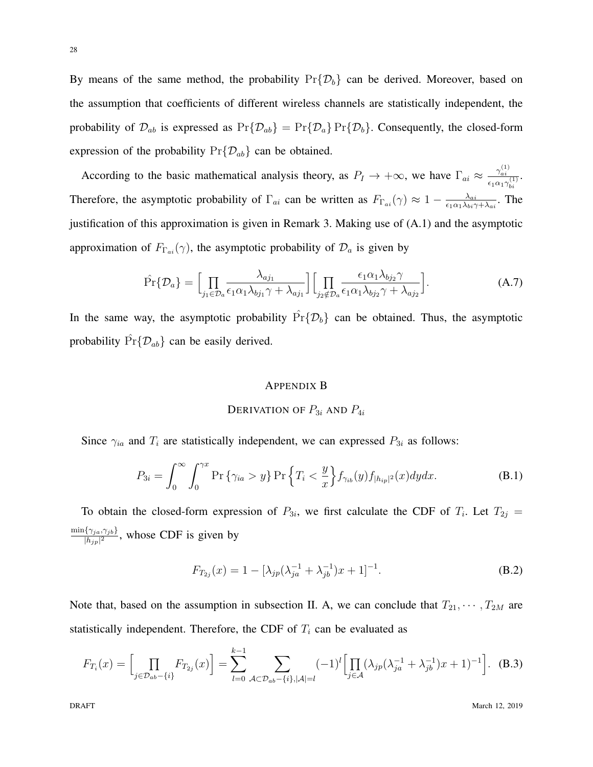By means of the same method, the probability  $Pr{\{\mathcal{D}_b\}}$  can be derived. Moreover, based on the assumption that coefficients of different wireless channels are statistically independent, the probability of  $\mathcal{D}_{ab}$  is expressed as  $Pr{\{\mathcal{D}_{ab}\}} = Pr{\{\mathcal{D}_{a}\}} Pr{\{\mathcal{D}_{b}\}}$ . Consequently, the closed-form expression of the probability Pr*{Dab}* can be obtained.

According to the basic mathematical analysis theory, as  $P_I \to +\infty$ , we have  $\Gamma_{ai} \approx \frac{\gamma_{ai}^{(1)}}{2\pi\epsilon}$  $\frac{\gamma_{ai}}{\epsilon_1\alpha_1\gamma_{bi}^{(1)}}$ . Therefore, the asymptotic probability of  $\Gamma_{ai}$  can be written as  $F_{\Gamma_{ai}}(\gamma) \approx 1 - \frac{\lambda_{ai}}{\epsilon_1 \alpha_1 \lambda_{bi} \gamma_1}$  $\frac{\lambda_{ai}}{\epsilon_1\alpha_1\lambda_{bi}\gamma+\lambda_{ai}}$ . The justification of this approximation is given in Remark 3. Making use of (A.1) and the asymptotic approximation of  $F_{\Gamma_{ai}}(\gamma)$ , the asymptotic probability of  $\mathcal{D}_a$  is given by

$$
\hat{\Pr}\{\mathcal{D}_a\} = \left[\prod_{j_1 \in \mathcal{D}_a} \frac{\lambda_{aj_1}}{\epsilon_1 \alpha_1 \lambda_{bj_1} \gamma + \lambda_{aj_1}}\right] \left[\prod_{j_2 \notin \mathcal{D}_a} \frac{\epsilon_1 \alpha_1 \lambda_{bj_2} \gamma}{\epsilon_1 \alpha_1 \lambda_{bj_2} \gamma + \lambda_{aj_2}}\right].
$$
\n(A.7)

In the same way, the asymptotic probability  $\hat{Pr}\{\mathcal{D}_b\}$  can be obtained. Thus, the asymptotic probability  $\hat{\Pr} \{ \mathcal{D}_{ab} \}$  can be easily derived.

#### APPENDIX B

#### DERIVATION OF  $P_{3i}$  AND  $P_{4i}$

Since  $\gamma_{ia}$  and  $T_i$  are statistically independent, we can expressed  $P_{3i}$  as follows:

$$
P_{3i} = \int_0^\infty \int_0^{\gamma x} \Pr\left\{\gamma_{ia} > y\right\} \Pr\left\{T_i < \frac{y}{x}\right\} f_{\gamma_{ib}}(y) f_{|h_{ip}|^2}(x) dy dx.
$$
 (B.1)

To obtain the closed-form expression of  $P_{3i}$ , we first calculate the CDF of  $T_i$ . Let  $T_{2j}$  = min*{γja,γjb}*  $\frac{\{Y_{ja}, Y_{jb}\}}{|h_{jp}|^2}$ , whose CDF is given by

$$
F_{T_{2j}}(x) = 1 - [\lambda_{jp}(\lambda_{ja}^{-1} + \lambda_{jb}^{-1})x + 1]^{-1}.
$$
 (B.2)

Note that, based on the assumption in subsection II. A, we can conclude that  $T_{21}, \cdots, T_{2M}$  are statistically independent. Therefore, the CDF of  $T_i$  can be evaluated as

$$
F_{T_i}(x) = \left[\prod_{j \in \mathcal{D}_{ab} - \{i\}} F_{T_{2j}}(x)\right] = \sum_{l=0}^{k-1} \sum_{\mathcal{A} \subset \mathcal{D}_{ab} - \{i\}, |\mathcal{A}| = l} (-1)^l \left[\prod_{j \in \mathcal{A}} (\lambda_{jp}(\lambda_{ja}^{-1} + \lambda_{jb}^{-1})x + 1)^{-1}\right].
$$
 (B.3)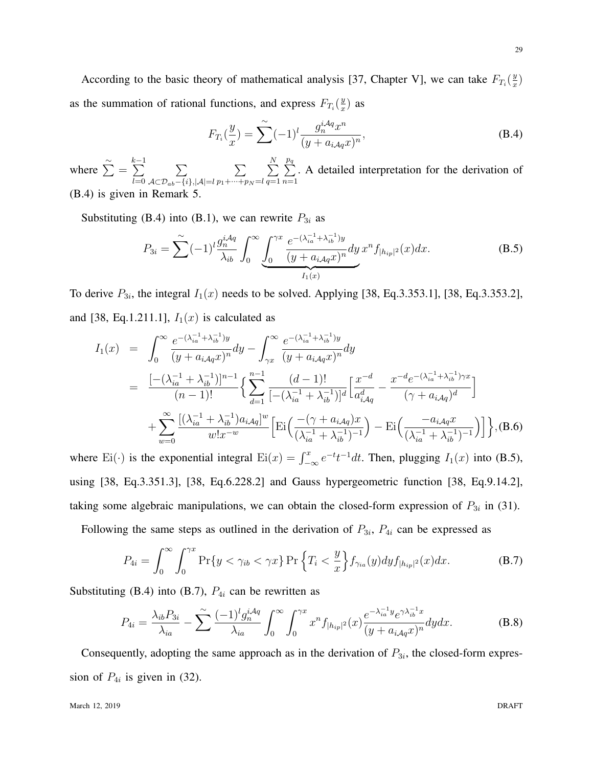According to the basic theory of mathematical analysis [37, Chapter V], we can take  $F_{T_i}(\frac{y}{x})$  $\frac{y}{x}$ as the summation of rational functions, and express  $F_{T_i}(\frac{y}{x})$  $\frac{y}{x}$ ) as

$$
F_{T_i}(\frac{y}{x}) = \sum_{n=0}^{\infty} (-1)^l \frac{g_n^{iAq} x^n}{(y + a_{iAq} x)^n},
$$
\n(B.4)

where  $\sum^{\infty}$  = *k* ∑*−*1 *l*=0 ∑ *A⊂Dab−{i},|A|*=*l* ∑ *p*1+*···*+*p<sup>N</sup>* =*l* ∑ *N q*=1 ∑ *pq n*=1 . A detailed interpretation for the derivation of  $(B.4)$  is given in Remark

Substituting (B.4) into (B.1), we can rewrite  $P_{3i}$  as

$$
P_{3i} = \sum_{i}^{\infty} (-1)^i \frac{g_n^{iAq}}{\lambda_{ib}} \int_0^{\infty} \underbrace{\int_0^{\gamma x} \frac{e^{-(\lambda_{ia}^{-1} + \lambda_{ib}^{-1})y}}{(y + a_{iAq}x)^n} dy \, x^n f_{|h_{ip}|^2}(x) dx}_{I_1(x)}.
$$
 (B.5)

To derive  $P_{3i}$ , the integral  $I_1(x)$  needs to be solved. Applying [38, Eq.3.353.1], [38, Eq.3.353.2], and [38, Eq.1.211.1],  $I_1(x)$  is calculated as

$$
I_{1}(x) = \int_{0}^{\infty} \frac{e^{-(\lambda_{ia}^{-1} + \lambda_{ib}^{-1})y}}{(y + a_{iAq}x)^{n}} dy - \int_{\gamma x}^{\infty} \frac{e^{-(\lambda_{ia}^{-1} + \lambda_{ib}^{-1})y}}{(y + a_{iAq}x)^{n}} dy
$$
  
\n
$$
= \frac{\left[ -(\lambda_{ia}^{-1} + \lambda_{ib}^{-1}) \right]^{n-1}}{(n-1)!} \left\{ \sum_{d=1}^{n-1} \frac{(d-1)!}{[-(\lambda_{ia}^{-1} + \lambda_{ib}^{-1})]^{d}} \left[ \frac{x^{-d}}{a_{iAq}^{d}} - \frac{x^{-d} e^{-(\lambda_{ia}^{-1} + \lambda_{ib}^{-1})\gamma x}}{(\gamma + a_{iAq})^{d}} \right] \right. \\ \left. + \sum_{w=0}^{\infty} \frac{\left[ (\lambda_{ia}^{-1} + \lambda_{ib}^{-1}) a_{iAq} \right]^{w}}{w!x^{-w}} \left[ \text{Ei} \left( \frac{-(\gamma + a_{iAq})x}{(\lambda_{ia}^{-1} + \lambda_{ib}^{-1})^{-1}} \right) - \text{Ei} \left( \frac{-a_{iAq}x}{(\lambda_{ia}^{-1} + \lambda_{ib}^{-1})^{-1}} \right) \right] \right\}, (B.6)
$$

where Ei(·) is the exponential integral Ei(*x*) =  $\int_{-\infty}^{x} e^{-t}t^{-1}dt$ . Then, plugging  $I_1(x)$  into (B.5), using [38, Eq.3.351.3], [38, Eq.6.228.2] and Gauss hypergeometric function [38, Eq.9.14.2], taking some algebraic manipulations, we can obtain the closed-form expression of  $P_{3i}$  in (31).

Following the same steps as outlined in the derivation of  $P_{3i}$ ,  $P_{4i}$  can be expressed as

$$
P_{4i} = \int_0^\infty \int_0^{\gamma x} \Pr\{y < \gamma_{ib} < \gamma x\} \Pr\left\{T_i < \frac{y}{x}\right\} f_{\gamma_{ia}}(y) dy f_{|h_{ip}|^2}(x) dx. \tag{B.7}
$$

Substituting (B.4) into (B.7),  $P_{4i}$  can be rewritten as

$$
P_{4i} = \frac{\lambda_{ib} P_{3i}}{\lambda_{ia}} - \sum_{i}^{\infty} \frac{(-1)^i g_n^{i\mathcal{A}q}}{\lambda_{ia}} \int_0^{\infty} \int_0^{\gamma x} x^n f_{|h_{ip}|^2}(x) \frac{e^{-\lambda_{ia}^{-1} y} e^{\gamma \lambda_{ib}^{-1} x}}{(y + a_{i\mathcal{A}q} x)^n} dy dx.
$$
 (B.8)

Consequently, adopting the same approach as in the derivation of  $P_{3i}$ , the closed-form expression of  $P_{4i}$  is given in (32).

March 12, 2019 DRAFT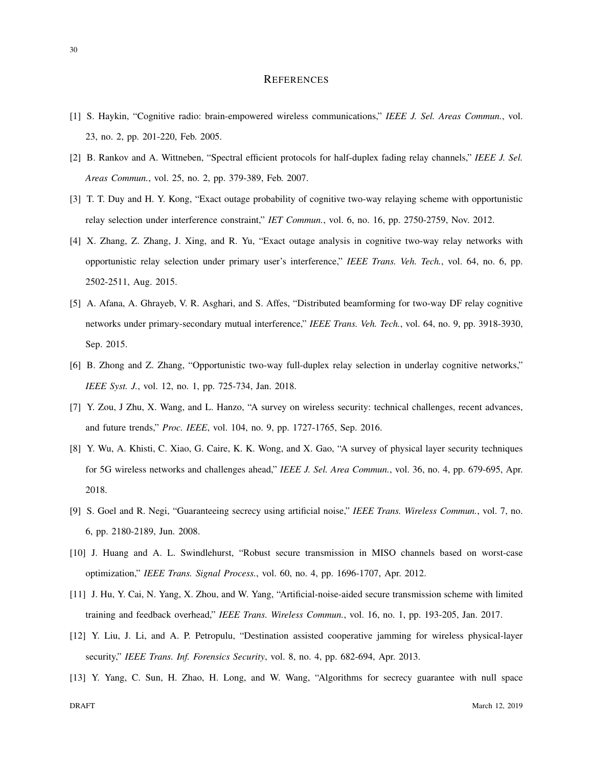#### **REFERENCES**

- [1] S. Haykin, "Cognitive radio: brain-empowered wireless communications," *IEEE J. Sel. Areas Commun.*, vol. 23, no. 2, pp. 201-220, Feb. 2005.
- [2] B. Rankov and A. Wittneben, "Spectral efficient protocols for half-duplex fading relay channels," *IEEE J. Sel. Areas Commun.*, vol. 25, no. 2, pp. 379-389, Feb. 2007.
- [3] T. T. Duy and H. Y. Kong, "Exact outage probability of cognitive two-way relaying scheme with opportunistic relay selection under interference constraint," *IET Commun.*, vol. 6, no. 16, pp. 2750-2759, Nov. 2012.
- [4] X. Zhang, Z. Zhang, J. Xing, and R. Yu, "Exact outage analysis in cognitive two-way relay networks with opportunistic relay selection under primary user's interference," *IEEE Trans. Veh. Tech.*, vol. 64, no. 6, pp. 2502-2511, Aug. 2015.
- [5] A. Afana, A. Ghrayeb, V. R. Asghari, and S. Affes, "Distributed beamforming for two-way DF relay cognitive networks under primary-secondary mutual interference," *IEEE Trans. Veh. Tech.*, vol. 64, no. 9, pp. 3918-3930, Sep. 2015.
- [6] B. Zhong and Z. Zhang, "Opportunistic two-way full-duplex relay selection in underlay cognitive networks," *IEEE Syst. J.*, vol. 12, no. 1, pp. 725-734, Jan. 2018.
- [7] Y. Zou, J Zhu, X. Wang, and L. Hanzo, "A survey on wireless security: technical challenges, recent advances, and future trends," *Proc. IEEE*, vol. 104, no. 9, pp. 1727-1765, Sep. 2016.
- [8] Y. Wu, A. Khisti, C. Xiao, G. Caire, K. K. Wong, and X. Gao, "A survey of physical layer security techniques for 5G wireless networks and challenges ahead," *IEEE J. Sel. Area Commun.*, vol. 36, no. 4, pp. 679-695, Apr. 2018.
- [9] S. Goel and R. Negi, "Guaranteeing secrecy using artificial noise," *IEEE Trans. Wireless Commun.*, vol. 7, no. 6, pp. 2180-2189, Jun. 2008.
- [10] J. Huang and A. L. Swindlehurst, "Robust secure transmission in MISO channels based on worst-case optimization," *IEEE Trans. Signal Process.*, vol. 60, no. 4, pp. 1696-1707, Apr. 2012.
- [11] J. Hu, Y. Cai, N. Yang, X. Zhou, and W. Yang, "Artificial-noise-aided secure transmission scheme with limited training and feedback overhead," *IEEE Trans. Wireless Commun.*, vol. 16, no. 1, pp. 193-205, Jan. 2017.
- [12] Y. Liu, J. Li, and A. P. Petropulu, "Destination assisted cooperative jamming for wireless physical-layer security," *IEEE Trans. Inf. Forensics Security*, vol. 8, no. 4, pp. 682-694, Apr. 2013.
- [13] Y. Yang, C. Sun, H. Zhao, H. Long, and W. Wang, "Algorithms for secrecy guarantee with null space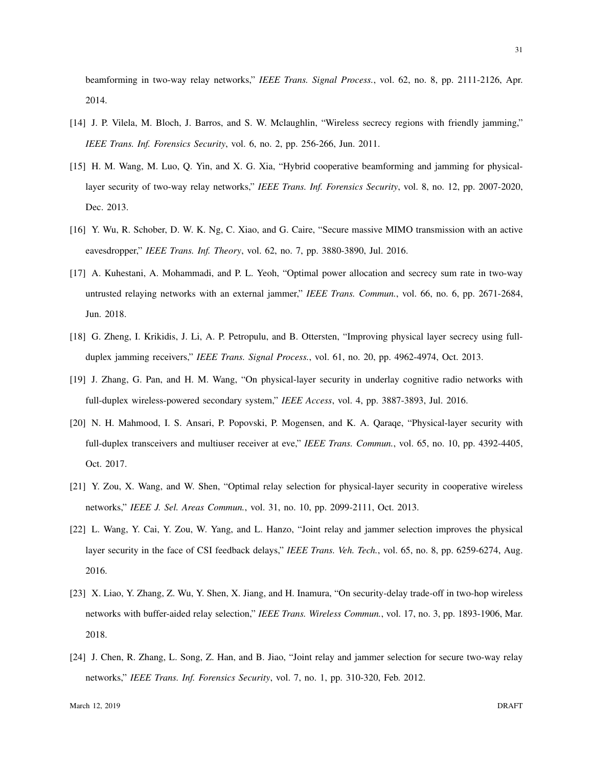beamforming in two-way relay networks," *IEEE Trans. Signal Process.*, vol. 62, no. 8, pp. 2111-2126, Apr. 2014.

- [14] J. P. Vilela, M. Bloch, J. Barros, and S. W. Mclaughlin, "Wireless secrecy regions with friendly jamming," *IEEE Trans. Inf. Forensics Security*, vol. 6, no. 2, pp. 256-266, Jun. 2011.
- [15] H. M. Wang, M. Luo, Q. Yin, and X. G. Xia, "Hybrid cooperative beamforming and jamming for physicallayer security of two-way relay networks," *IEEE Trans. Inf. Forensics Security*, vol. 8, no. 12, pp. 2007-2020, Dec. 2013.
- [16] Y. Wu, R. Schober, D. W. K. Ng, C. Xiao, and G. Caire, "Secure massive MIMO transmission with an active eavesdropper," *IEEE Trans. Inf. Theory*, vol. 62, no. 7, pp. 3880-3890, Jul. 2016.
- [17] A. Kuhestani, A. Mohammadi, and P. L. Yeoh, "Optimal power allocation and secrecy sum rate in two-way untrusted relaying networks with an external jammer," *IEEE Trans. Commun.*, vol. 66, no. 6, pp. 2671-2684, Jun. 2018.
- [18] G. Zheng, I. Krikidis, J. Li, A. P. Petropulu, and B. Ottersten, "Improving physical layer secrecy using fullduplex jamming receivers," *IEEE Trans. Signal Process.*, vol. 61, no. 20, pp. 4962-4974, Oct. 2013.
- [19] J. Zhang, G. Pan, and H. M. Wang, "On physical-layer security in underlay cognitive radio networks with full-duplex wireless-powered secondary system," *IEEE Access*, vol. 4, pp. 3887-3893, Jul. 2016.
- [20] N. H. Mahmood, I. S. Ansari, P. Popovski, P. Mogensen, and K. A. Qaraqe, "Physical-layer security with full-duplex transceivers and multiuser receiver at eve," *IEEE Trans. Commun.*, vol. 65, no. 10, pp. 4392-4405, Oct. 2017.
- [21] Y. Zou, X. Wang, and W. Shen, "Optimal relay selection for physical-layer security in cooperative wireless networks," *IEEE J. Sel. Areas Commun.*, vol. 31, no. 10, pp. 2099-2111, Oct. 2013.
- [22] L. Wang, Y. Cai, Y. Zou, W. Yang, and L. Hanzo, "Joint relay and jammer selection improves the physical layer security in the face of CSI feedback delays," *IEEE Trans. Veh. Tech.*, vol. 65, no. 8, pp. 6259-6274, Aug. 2016.
- [23] X. Liao, Y. Zhang, Z. Wu, Y. Shen, X. Jiang, and H. Inamura, "On security-delay trade-off in two-hop wireless networks with buffer-aided relay selection," *IEEE Trans. Wireless Commun.*, vol. 17, no. 3, pp. 1893-1906, Mar. 2018.
- [24] J. Chen, R. Zhang, L. Song, Z. Han, and B. Jiao, "Joint relay and jammer selection for secure two-way relay networks," *IEEE Trans. Inf. Forensics Security*, vol. 7, no. 1, pp. 310-320, Feb. 2012.